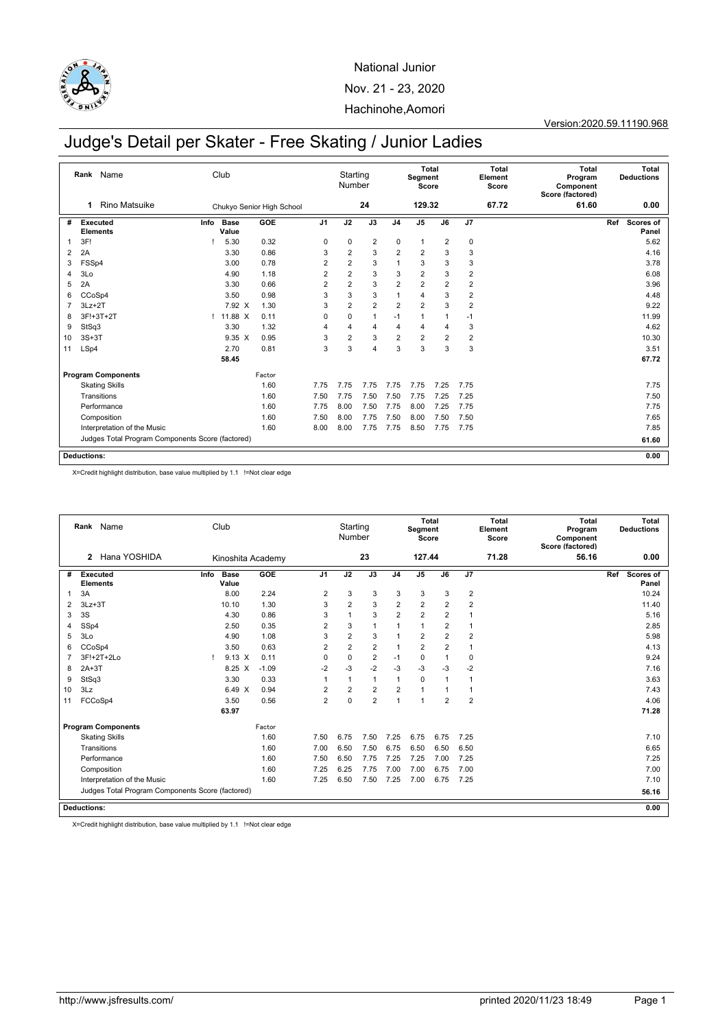

Version:2020.59.11190.968

# Judge's Detail per Skater - Free Skating / Junior Ladies

|    | Name<br>Rank                                     |      | Club                 |                           |                | Starting<br>Number |                         |                | Segment<br>Score | Total                   |                         | <b>Total</b><br>Element<br>Score | <b>Total</b><br>Program<br>Component<br>Score (factored) |     | Total<br><b>Deductions</b> |
|----|--------------------------------------------------|------|----------------------|---------------------------|----------------|--------------------|-------------------------|----------------|------------------|-------------------------|-------------------------|----------------------------------|----------------------------------------------------------|-----|----------------------------|
|    | <b>Rino Matsuike</b><br>1                        |      |                      | Chukyo Senior High School |                |                    | 24                      |                | 129.32           |                         |                         | 67.72                            | 61.60                                                    |     | 0.00                       |
| #  | Executed<br><b>Elements</b>                      | Info | <b>Base</b><br>Value | GOE                       | J <sub>1</sub> | J2                 | J3                      | J <sub>4</sub> | J <sub>5</sub>   | J6                      | J7                      |                                  |                                                          | Ref | Scores of<br>Panel         |
| -1 | 3F!                                              |      | 5.30                 | 0.32                      | 0              | 0                  | $\overline{\mathbf{c}}$ | $\mathbf 0$    | $\mathbf{1}$     | $\overline{\mathbf{c}}$ | 0                       |                                  |                                                          |     | 5.62                       |
| 2  | 2A                                               |      | 3.30                 | 0.86                      | 3              | $\overline{2}$     | 3                       | $\overline{2}$ | $\overline{2}$   | 3                       | 3                       |                                  |                                                          |     | 4.16                       |
| 3  | FSSp4                                            |      | 3.00                 | 0.78                      | 2              | $\overline{2}$     | 3                       | $\mathbf{1}$   | 3                | 3                       | 3                       |                                  |                                                          |     | 3.78                       |
| 4  | 3Lo                                              |      | 4.90                 | 1.18                      | $\overline{2}$ | $\overline{2}$     | 3                       | 3              | 2                | 3                       | $\overline{2}$          |                                  |                                                          |     | 6.08                       |
| 5  | 2A                                               |      | 3.30                 | 0.66                      | $\overline{2}$ | $\overline{2}$     | 3                       | $\overline{2}$ | $\overline{2}$   | $\overline{2}$          | $\overline{2}$          |                                  |                                                          |     | 3.96                       |
| 6  | CCoSp4                                           |      | 3.50                 | 0.98                      | 3              | 3                  | 3                       | 1              | 4                | 3                       | $\overline{2}$          |                                  |                                                          |     | 4.48                       |
| 7  | $3Lz + 2T$                                       |      | 7.92 X               | 1.30                      | 3              | $\overline{2}$     | $\overline{2}$          | $\overline{2}$ | $\overline{2}$   | 3                       | $\overline{2}$          |                                  |                                                          |     | 9.22                       |
| 8  | 3F!+3T+2T                                        |      | 11.88 X              | 0.11                      | 0              | 0                  | $\mathbf{1}$            | $-1$           | 1                |                         | $-1$                    |                                  |                                                          |     | 11.99                      |
| 9  | StSq3                                            |      | 3.30                 | 1.32                      | $\overline{4}$ | 4                  | $\overline{4}$          | 4              | 4                | 4                       | 3                       |                                  |                                                          |     | 4.62                       |
| 10 | $3S+3T$                                          |      | $9.35 \text{ X}$     | 0.95                      | 3              | $\overline{2}$     | 3                       | $\overline{2}$ | $\overline{2}$   | $\overline{2}$          | $\overline{\mathbf{c}}$ |                                  |                                                          |     | 10.30                      |
| 11 | LSp4                                             |      | 2.70                 | 0.81                      | 3              | 3                  | 4                       | 3              | 3                | 3                       | 3                       |                                  |                                                          |     | 3.51                       |
|    |                                                  |      | 58.45                |                           |                |                    |                         |                |                  |                         |                         |                                  |                                                          |     | 67.72                      |
|    | <b>Program Components</b>                        |      |                      | Factor                    |                |                    |                         |                |                  |                         |                         |                                  |                                                          |     |                            |
|    | <b>Skating Skills</b>                            |      |                      | 1.60                      | 7.75           | 7.75               | 7.75                    | 7.75           | 7.75             | 7.25                    | 7.75                    |                                  |                                                          |     | 7.75                       |
|    | Transitions                                      |      |                      | 1.60                      | 7.50           | 7.75               | 7.50                    | 7.50           | 7.75             | 7.25                    | 7.25                    |                                  |                                                          |     | 7.50                       |
|    | Performance                                      |      |                      | 1.60                      | 7.75           | 8.00               | 7.50                    | 7.75           | 8.00             | 7.25                    | 7.75                    |                                  |                                                          |     | 7.75                       |
|    | Composition                                      |      |                      | 1.60                      | 7.50           | 8.00               | 7.75                    | 7.50           | 8.00             | 7.50                    | 7.50                    |                                  |                                                          |     | 7.65                       |
|    | Interpretation of the Music                      |      |                      | 1.60                      | 8.00           | 8.00               | 7.75                    | 7.75           | 8.50             | 7.75                    | 7.75                    |                                  |                                                          |     | 7.85                       |
|    | Judges Total Program Components Score (factored) |      |                      |                           |                |                    |                         |                |                  |                         |                         |                                  |                                                          |     | 61.60                      |
|    | <b>Deductions:</b>                               |      |                      |                           |                |                    |                         |                |                  |                         |                         |                                  |                                                          |     | 0.00                       |

X=Credit highlight distribution, base value multiplied by 1.1 !=Not clear edge

|    | Rank Name<br>Hana YOSHIDA<br>$\overline{2}$      |      | Club                 |                   |                | Starting<br>Number |                  |                | Segment<br>Score | Total          |                | Total<br>Element<br>Score | Total<br>Program<br>Component<br>Score (factored) | Total<br><b>Deductions</b>       |
|----|--------------------------------------------------|------|----------------------|-------------------|----------------|--------------------|------------------|----------------|------------------|----------------|----------------|---------------------------|---------------------------------------------------|----------------------------------|
|    |                                                  |      |                      | Kinoshita Academy |                |                    | 23               |                | 127.44           |                |                | 71.28                     | 56.16                                             | 0.00                             |
| #  | <b>Executed</b><br><b>Elements</b>               | Info | <b>Base</b><br>Value | GOE               | J <sub>1</sub> | J2                 | J3               | J <sub>4</sub> | J <sub>5</sub>   | J6             | J7             |                           |                                                   | Ref<br><b>Scores of</b><br>Panel |
| 1  | 3A                                               |      | 8.00                 | 2.24              | $\overline{2}$ | 3                  | 3                | 3              | 3                | 3              | $\overline{2}$ |                           |                                                   | 10.24                            |
| 2  | $3Lz + 3T$                                       |      | 10.10                | 1.30              | 3              | $\overline{2}$     | 3                | $\overline{2}$ | $\overline{2}$   | $\overline{2}$ | $\overline{2}$ |                           |                                                   | 11.40                            |
| 3  | 3S                                               |      | 4.30                 | 0.86              | 3              | 1                  | 3                | $\overline{2}$ | $\overline{2}$   | $\overline{2}$ | $\overline{1}$ |                           |                                                   | 5.16                             |
| 4  | SSp4                                             |      | 2.50                 | 0.35              | $\overline{2}$ | 3                  | $\mathbf{1}$     | 1              | $\mathbf{1}$     | $\overline{2}$ | $\overline{1}$ |                           |                                                   | 2.85                             |
| 5  | 3 <sub>LO</sub>                                  |      | 4.90                 | 1.08              | 3              | $\overline{2}$     | 3                | $\mathbf{1}$   | $\overline{2}$   | $\overline{2}$ | 2              |                           |                                                   | 5.98                             |
| 6  | CCoSp4                                           |      | 3.50                 | 0.63              | $\overline{2}$ | $\overline{2}$     | $\boldsymbol{2}$ | 1              | $\overline{c}$   | $\overline{2}$ |                |                           |                                                   | 4.13                             |
| 7  | 3F!+2T+2Lo                                       |      | $9.13 \times$        | 0.11              | 0              | $\mathbf 0$        | $\overline{2}$   | $-1$           | 0                |                | $\mathbf 0$    |                           |                                                   | 9.24                             |
| 8  | $2A+3T$                                          |      | 8.25 X               | $-1.09$           | $-2$           | $-3$               | $-2$             | $-3$           | $-3$             | $-3$           | $-2$           |                           |                                                   | 7.16                             |
| 9  | StSq3                                            |      | 3.30                 | 0.33              | $\mathbf{1}$   | $\mathbf{1}$       | $\mathbf{1}$     | 1              | $\mathbf 0$      | -1             | $\overline{1}$ |                           |                                                   | 3.63                             |
| 10 | 3Lz                                              |      | 6.49 X               | 0.94              | $\overline{2}$ | $\overline{2}$     | $\overline{2}$   | $\overline{2}$ | 1                | 1              | $\overline{1}$ |                           |                                                   | 7.43                             |
| 11 | FCCoSp4                                          |      | 3.50                 | 0.56              | $\overline{2}$ | $\Omega$           | $\overline{2}$   | 1              | 1                | $\overline{2}$ | $\overline{2}$ |                           |                                                   | 4.06                             |
|    |                                                  |      | 63.97                |                   |                |                    |                  |                |                  |                |                |                           |                                                   | 71.28                            |
|    | <b>Program Components</b>                        |      |                      | Factor            |                |                    |                  |                |                  |                |                |                           |                                                   |                                  |
|    | <b>Skating Skills</b>                            |      |                      | 1.60              | 7.50           | 6.75               | 7.50             | 7.25           | 6.75             | 6.75           | 7.25           |                           |                                                   | 7.10                             |
|    | Transitions                                      |      |                      | 1.60              | 7.00           | 6.50               | 7.50             | 6.75           | 6.50             | 6.50           | 6.50           |                           |                                                   | 6.65                             |
|    | Performance                                      |      |                      | 1.60              | 7.50           | 6.50               | 7.75             | 7.25           | 7.25             | 7.00           | 7.25           |                           |                                                   | 7.25                             |
|    | Composition                                      |      |                      | 1.60              | 7.25           | 6.25               | 7.75             | 7.00           | 7.00             | 6.75           | 7.00           |                           |                                                   | 7.00                             |
|    | Interpretation of the Music                      |      |                      | 1.60              | 7.25           | 6.50               | 7.50             | 7.25           | 7.00             | 6.75           | 7.25           |                           |                                                   | 7.10                             |
|    | Judges Total Program Components Score (factored) |      |                      |                   |                |                    |                  |                |                  |                |                |                           |                                                   | 56.16                            |
|    | <b>Deductions:</b>                               |      |                      |                   |                |                    |                  |                |                  |                |                |                           |                                                   | 0.00                             |

X=Credit highlight distribution, base value multiplied by 1.1 !=Not clear edge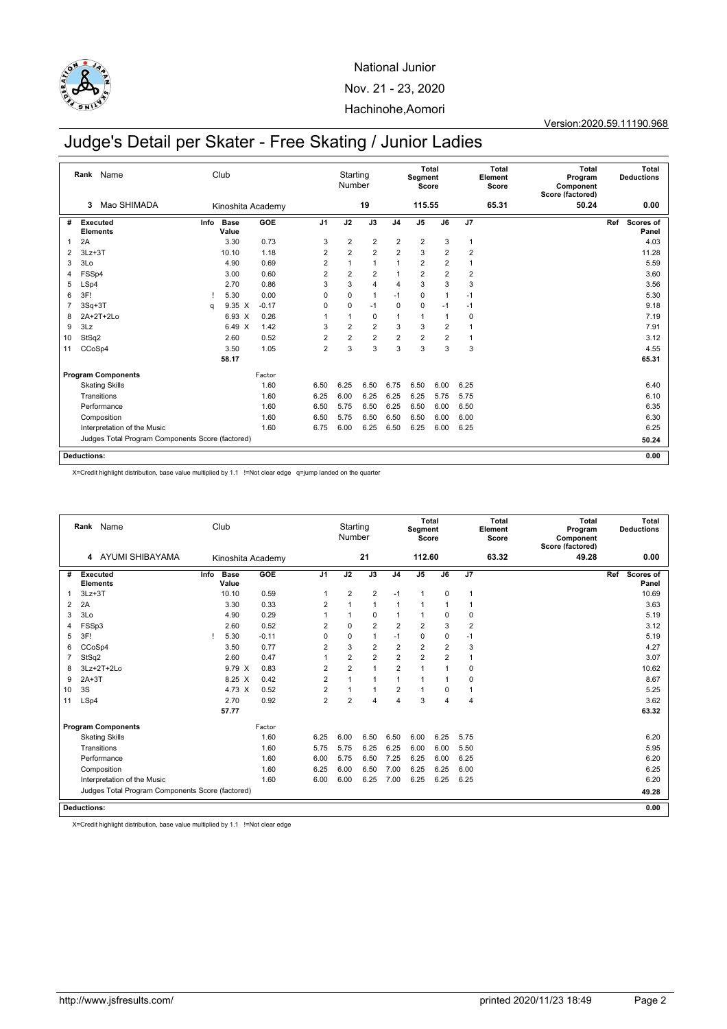

Version:2020.59.11190.968

# Judge's Detail per Skater - Free Skating / Junior Ladies

|    | Rank Name                                        |      | Club                 |         |                | Starting<br>Number |                |                | Segment<br>Score | <b>Total</b>   |                | <b>Total</b><br>Element<br>Score | <b>Total</b><br>Program<br>Component<br>Score (factored) |     | Total<br><b>Deductions</b> |
|----|--------------------------------------------------|------|----------------------|---------|----------------|--------------------|----------------|----------------|------------------|----------------|----------------|----------------------------------|----------------------------------------------------------|-----|----------------------------|
|    | Mao SHIMADA<br>3                                 |      | Kinoshita Academy    |         |                |                    | 19             |                | 115.55           |                |                | 65.31                            | 50.24                                                    |     | 0.00                       |
| #  | Executed<br><b>Elements</b>                      | Info | <b>Base</b><br>Value | GOE     | J <sub>1</sub> | J2                 | J3             | J <sub>4</sub> | J5               | J6             | J7             |                                  |                                                          | Ref | Scores of<br>Panel         |
| 1  | 2A                                               |      | 3.30                 | 0.73    | 3              | $\overline{2}$     | $\overline{2}$ | $\overline{2}$ | $\overline{2}$   | 3              | $\mathbf{1}$   |                                  |                                                          |     | 4.03                       |
| 2  | $3Lz + 3T$                                       |      | 10.10                | 1.18    | $\overline{2}$ | $\overline{2}$     | $\overline{2}$ | $\overline{2}$ | 3                | $\overline{2}$ | $\overline{2}$ |                                  |                                                          |     | 11.28                      |
| 3  | 3Lo                                              |      | 4.90                 | 0.69    | $\overline{2}$ | 1                  | $\overline{1}$ | 1              | $\overline{2}$   | $\overline{2}$ | $\overline{1}$ |                                  |                                                          |     | 5.59                       |
| 4  | FSSp4                                            |      | 3.00                 | 0.60    | $\overline{2}$ | $\overline{2}$     | $\overline{2}$ |                | $\overline{2}$   | $\overline{2}$ | $\overline{2}$ |                                  |                                                          |     | 3.60                       |
| 5  | LSp4                                             |      | 2.70                 | 0.86    | 3              | 3                  | $\overline{4}$ | $\overline{4}$ | 3                | 3              | 3              |                                  |                                                          |     | 3.56                       |
| 6  | 3F!                                              |      | 5.30                 | 0.00    | 0              | $\mathbf 0$        | $\overline{1}$ | $-1$           | 0                | 1              | $-1$           |                                  |                                                          |     | 5.30                       |
| 7  | $3Sq+3T$                                         | q    | $9.35 \times$        | $-0.17$ | 0              | 0                  | $-1$           | $\mathbf 0$    | 0                | $-1$           | $-1$           |                                  |                                                          |     | 9.18                       |
| 8  | 2A+2T+2Lo                                        |      | $6.93 \times$        | 0.26    | 1              | 1                  | $\mathbf 0$    | $\mathbf{1}$   | 1                | 1              | 0              |                                  |                                                          |     | 7.19                       |
| 9  | 3Lz                                              |      | 6.49 X               | 1.42    | 3              | $\overline{2}$     | $\overline{2}$ | 3              | 3                | $\overline{2}$ | -1             |                                  |                                                          |     | 7.91                       |
| 10 | StSq2                                            |      | 2.60                 | 0.52    | $\overline{2}$ | $\overline{2}$     | $\overline{2}$ | $\overline{2}$ | $\overline{2}$   | $\overline{2}$ | $\overline{1}$ |                                  |                                                          |     | 3.12                       |
| 11 | CCoSp4                                           |      | 3.50                 | 1.05    | $\overline{2}$ | 3                  | 3              | 3              | 3                | 3              | 3              |                                  |                                                          |     | 4.55                       |
|    |                                                  |      | 58.17                |         |                |                    |                |                |                  |                |                |                                  |                                                          |     | 65.31                      |
|    | <b>Program Components</b>                        |      |                      | Factor  |                |                    |                |                |                  |                |                |                                  |                                                          |     |                            |
|    | <b>Skating Skills</b>                            |      |                      | 1.60    | 6.50           | 6.25               | 6.50           | 6.75           | 6.50             | 6.00           | 6.25           |                                  |                                                          |     | 6.40                       |
|    | Transitions                                      |      |                      | 1.60    | 6.25           | 6.00               | 6.25           | 6.25           | 6.25             | 5.75           | 5.75           |                                  |                                                          |     | 6.10                       |
|    | Performance                                      |      |                      | 1.60    | 6.50           | 5.75               | 6.50           | 6.25           | 6.50             | 6.00           | 6.50           |                                  |                                                          |     | 6.35                       |
|    | Composition                                      |      |                      | 1.60    | 6.50           | 5.75               | 6.50           | 6.50           | 6.50             | 6.00           | 6.00           |                                  |                                                          |     | 6.30                       |
|    | Interpretation of the Music                      |      |                      | 1.60    | 6.75           | 6.00               | 6.25           | 6.50           | 6.25             | 6.00           | 6.25           |                                  |                                                          |     | 6.25                       |
|    | Judges Total Program Components Score (factored) |      |                      |         |                |                    |                |                |                  |                |                |                                  |                                                          |     | 50.24                      |
|    | Deductions:                                      |      |                      |         |                |                    |                |                |                  |                |                |                                  |                                                          |     | 0.00                       |

X=Credit highlight distribution, base value multiplied by 1.1 !=Not clear edge q=jump landed on the quarter

|    |                                    | Rank Name                                        |      | Club                 |         |                | Starting<br>Number |                |                | Segment<br>Score | Total          |                | Total<br>Element<br>Score | Total<br>Program<br>Component<br>Score (factored) |     | Total<br><b>Deductions</b> |
|----|------------------------------------|--------------------------------------------------|------|----------------------|---------|----------------|--------------------|----------------|----------------|------------------|----------------|----------------|---------------------------|---------------------------------------------------|-----|----------------------------|
|    | 4                                  | <b>AYUMI SHIBAYAMA</b>                           |      | Kinoshita Academy    |         |                |                    | 21             |                | 112.60           |                |                | 63.32                     | 49.28                                             |     | 0.00                       |
| #  | <b>Executed</b><br><b>Elements</b> |                                                  | Info | <b>Base</b><br>Value | GOE     | J <sub>1</sub> | J2                 | J3             | J <sub>4</sub> | J <sub>5</sub>   | J6             | J7             |                           |                                                   | Ref | Scores of<br>Panel         |
| 1  | $3Lz + 3T$                         |                                                  |      | 10.10                | 0.59    | $\mathbf{1}$   | $\overline{2}$     | 2              | $-1$           | $\mathbf{1}$     | $\mathbf 0$    | 1              |                           |                                                   |     | 10.69                      |
| 2  | 2A                                 |                                                  |      | 3.30                 | 0.33    | $\overline{2}$ |                    | $\overline{1}$ | 1              | 1                | 1              |                |                           |                                                   |     | 3.63                       |
| 3  | 3Lo                                |                                                  |      | 4.90                 | 0.29    |                | $\overline{1}$     | $\mathbf 0$    | 1              | 1                | 0              | 0              |                           |                                                   |     | 5.19                       |
| 4  | FSSp3                              |                                                  |      | 2.60                 | 0.52    | $\overline{2}$ | $\Omega$           | $\overline{2}$ | $\overline{2}$ | $\overline{2}$   | 3              | $\overline{2}$ |                           |                                                   |     | 3.12                       |
| 5  | 3F!                                |                                                  |      | 5.30                 | $-0.11$ | $\Omega$       | $\mathbf 0$        | $\overline{1}$ | $-1$           | 0                | $\mathbf 0$    | $-1$           |                           |                                                   |     | 5.19                       |
| 6  | CCoSp4                             |                                                  |      | 3.50                 | 0.77    | $\overline{2}$ | 3                  | $\overline{2}$ | $\overline{2}$ | $\overline{2}$   | $\overline{2}$ | 3              |                           |                                                   |     | 4.27                       |
| 7  | StSq2                              |                                                  |      | 2.60                 | 0.47    | 1              | $\overline{2}$     | $\overline{2}$ | $\overline{2}$ | $\overline{2}$   | $\overline{2}$ | 1              |                           |                                                   |     | 3.07                       |
| 8  |                                    | $3Lz+2T+2Lo$                                     |      | 9.79 X               | 0.83    | $\overline{2}$ | $\overline{2}$     | $\overline{1}$ | $\overline{2}$ | 1                | 1              | 0              |                           |                                                   |     | 10.62                      |
| 9  | $2A+3T$                            |                                                  |      | 8.25 X               | 0.42    | $\overline{2}$ | 1                  | $\overline{1}$ | 1              | 1                | 1              | $\mathbf 0$    |                           |                                                   |     | 8.67                       |
| 10 | 3S                                 |                                                  |      | 4.73 X               | 0.52    | $\overline{2}$ | 1                  | $\overline{1}$ | $\overline{2}$ | $\mathbf{1}$     | 0              | $\mathbf{1}$   |                           |                                                   |     | 5.25                       |
| 11 | LSp4                               |                                                  |      | 2.70                 | 0.92    | 2              | $\overline{2}$     | $\overline{4}$ | 4              | 3                | 4              | $\overline{4}$ |                           |                                                   |     | 3.62                       |
|    |                                    |                                                  |      | 57.77                |         |                |                    |                |                |                  |                |                |                           |                                                   |     | 63.32                      |
|    |                                    | <b>Program Components</b>                        |      |                      | Factor  |                |                    |                |                |                  |                |                |                           |                                                   |     |                            |
|    |                                    | <b>Skating Skills</b>                            |      |                      | 1.60    | 6.25           | 6.00               | 6.50           | 6.50           | 6.00             | 6.25           | 5.75           |                           |                                                   |     | 6.20                       |
|    |                                    | Transitions                                      |      |                      | 1.60    | 5.75           | 5.75               | 6.25           | 6.25           | 6.00             | 6.00           | 5.50           |                           |                                                   |     | 5.95                       |
|    |                                    | Performance                                      |      |                      | 1.60    | 6.00           | 5.75               | 6.50           | 7.25           | 6.25             | 6.00           | 6.25           |                           |                                                   |     | 6.20                       |
|    |                                    | Composition                                      |      |                      | 1.60    | 6.25           | 6.00               | 6.50           | 7.00           | 6.25             | 6.25           | 6.00           |                           |                                                   |     | 6.25                       |
|    |                                    | Interpretation of the Music                      |      |                      | 1.60    | 6.00           | 6.00               | 6.25           | 7.00           | 6.25             | 6.25           | 6.25           |                           |                                                   |     | 6.20                       |
|    |                                    | Judges Total Program Components Score (factored) |      |                      |         |                |                    |                |                |                  |                |                |                           |                                                   |     | 49.28                      |
|    | <b>Deductions:</b>                 |                                                  |      |                      |         |                |                    |                |                |                  |                |                |                           |                                                   |     | 0.00                       |

X=Credit highlight distribution, base value multiplied by 1.1 !=Not clear edge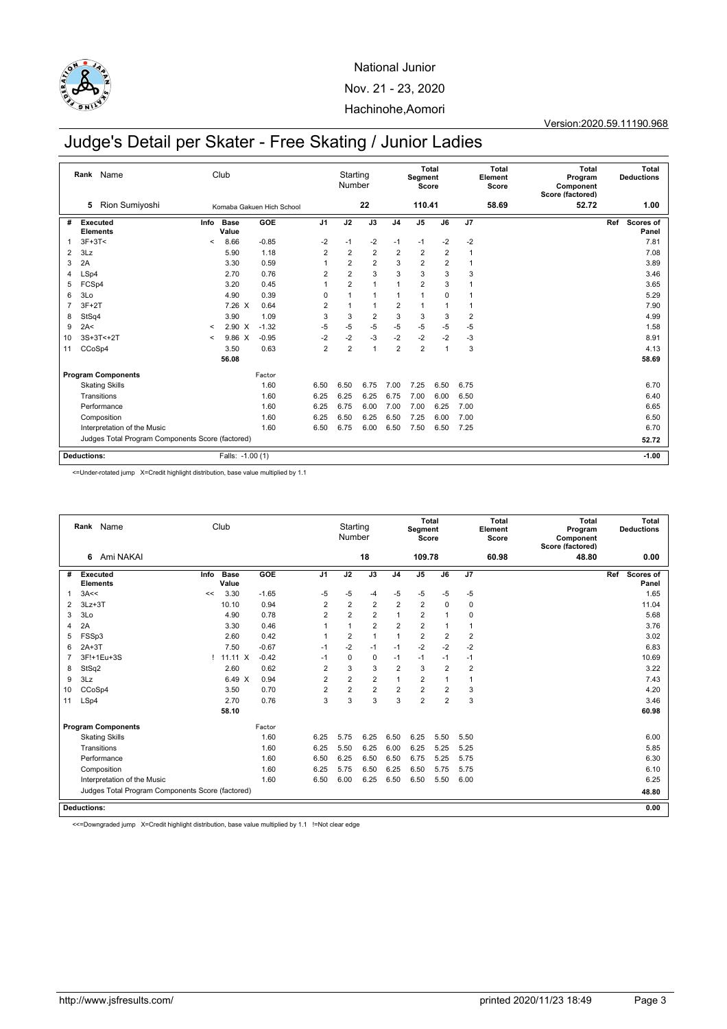

Version:2020.59.11190.968

# Judge's Detail per Skater - Free Skating / Junior Ladies

|                | Rank Name                                        |         | Club                 |                           |                | Starting<br>Number |                |                | Total<br>Segment<br>Score |                |              | <b>Total</b><br>Element<br>Score | <b>Total</b><br>Program<br>Component<br>Score (factored) | Total<br><b>Deductions</b> |
|----------------|--------------------------------------------------|---------|----------------------|---------------------------|----------------|--------------------|----------------|----------------|---------------------------|----------------|--------------|----------------------------------|----------------------------------------------------------|----------------------------|
|                | Rion Sumiyoshi<br>5                              |         |                      | Komaba Gakuen Hich School |                |                    | 22             |                | 110.41                    |                |              | 58.69                            | 52.72                                                    | 1.00                       |
| #              | Executed<br><b>Elements</b>                      | Info    | <b>Base</b><br>Value | GOE                       | J <sub>1</sub> | J2                 | J3             | J <sub>4</sub> | J5                        | J6             | J7           |                                  |                                                          | Ref<br>Scores of<br>Panel  |
| 1              | $3F+3T<$                                         | $\,<\,$ | 8.66                 | $-0.85$                   | $-2$           | $-1$               | $-2$           | $-1$           | $-1$                      | $-2$           | $-2$         |                                  |                                                          | 7.81                       |
| $\overline{2}$ | 3Lz                                              |         | 5.90                 | 1.18                      | $\overline{2}$ | $\overline{2}$     | $\overline{2}$ | $\overline{2}$ | $\overline{2}$            | $\overline{2}$ | $\mathbf{1}$ |                                  |                                                          | 7.08                       |
| 3              | 2A                                               |         | 3.30                 | 0.59                      | -1             | $\overline{2}$     | $\overline{2}$ | 3              | $\overline{2}$            | 2              | 1            |                                  |                                                          | 3.89                       |
| 4              | LSp4                                             |         | 2.70                 | 0.76                      | $\overline{2}$ | $\overline{2}$     | 3              | 3              | 3                         | 3              | 3            |                                  |                                                          | 3.46                       |
| 5              | FCSp4                                            |         | 3.20                 | 0.45                      |                | $\overline{2}$     | $\mathbf{1}$   | 1              | $\overline{2}$            | 3              |              |                                  |                                                          | 3.65                       |
| 6              | 3Lo                                              |         | 4.90                 | 0.39                      | $\Omega$       |                    | $\mathbf{1}$   | 1              | 1                         | $\mathbf 0$    |              |                                  |                                                          | 5.29                       |
| $\overline{7}$ | $3F+2T$                                          |         | 7.26 X               | 0.64                      | $\overline{2}$ | 1                  | $\mathbf{1}$   | 2              | 1                         |                |              |                                  |                                                          | 7.90                       |
| 8              | StSq4                                            |         | 3.90                 | 1.09                      | 3              | 3                  | $\overline{2}$ | 3              | 3                         | 3              | 2            |                                  |                                                          | 4.99                       |
| 9              | 2A<                                              | $\prec$ | $2.90 \t X$          | $-1.32$                   | $-5$           | $-5$               | $-5$           | $-5$           | $-5$                      | $-5$           | $-5$         |                                  |                                                          | 1.58                       |
| 10             | 3S+3T<+2T                                        | $\prec$ | 9.86 X               | $-0.95$                   | $-2$           | $-2$               | $-3$           | $-2$           | $-2$                      | $-2$           | $-3$         |                                  |                                                          | 8.91                       |
| 11             | CCoSp4                                           |         | 3.50                 | 0.63                      | $\overline{2}$ | $\overline{2}$     | $\mathbf{1}$   | $\overline{2}$ | $\overline{2}$            | 1              | 3            |                                  |                                                          | 4.13                       |
|                |                                                  |         | 56.08                |                           |                |                    |                |                |                           |                |              |                                  |                                                          | 58.69                      |
|                | <b>Program Components</b>                        |         |                      | Factor                    |                |                    |                |                |                           |                |              |                                  |                                                          |                            |
|                | <b>Skating Skills</b>                            |         |                      | 1.60                      | 6.50           | 6.50               | 6.75           | 7.00           | 7.25                      | 6.50           | 6.75         |                                  |                                                          | 6.70                       |
|                | Transitions                                      |         |                      | 1.60                      | 6.25           | 6.25               | 6.25           | 6.75           | 7.00                      | 6.00           | 6.50         |                                  |                                                          | 6.40                       |
|                | Performance                                      |         |                      | 1.60                      | 6.25           | 6.75               | 6.00           | 7.00           | 7.00                      | 6.25           | 7.00         |                                  |                                                          | 6.65                       |
|                | Composition                                      |         |                      | 1.60                      | 6.25           | 6.50               | 6.25           | 6.50           | 7.25                      | 6.00           | 7.00         |                                  |                                                          | 6.50                       |
|                | Interpretation of the Music                      |         |                      | 1.60                      | 6.50           | 6.75               | 6.00           | 6.50           | 7.50                      | 6.50           | 7.25         |                                  |                                                          | 6.70                       |
|                | Judges Total Program Components Score (factored) |         |                      |                           |                |                    |                |                |                           |                |              |                                  |                                                          | 52.72                      |
|                | <b>Deductions:</b>                               |         | Falls: -1.00 (1)     |                           |                |                    |                |                |                           |                |              |                                  |                                                          | $-1.00$                    |

<=Under-rotated jump X=Credit highlight distribution, base value multiplied by 1.1

|    | Rank Name                                        |      | Club                 |         |                | Starting<br>Number |                |                | <b>Total</b><br>Segment<br>Score |                |                | <b>Total</b><br>Element<br>Score | <b>Total</b><br>Program<br>Component<br>Score (factored) |     | Total<br><b>Deductions</b> |
|----|--------------------------------------------------|------|----------------------|---------|----------------|--------------------|----------------|----------------|----------------------------------|----------------|----------------|----------------------------------|----------------------------------------------------------|-----|----------------------------|
|    | Ami NAKAI<br>6                                   |      |                      |         |                |                    | 18             |                | 109.78                           |                |                | 60.98                            | 48.80                                                    |     | 0.00                       |
| #  | Executed<br><b>Elements</b>                      | Info | <b>Base</b><br>Value | GOE     | J <sub>1</sub> | J2                 | J3             | J <sub>4</sub> | J <sub>5</sub>                   | J6             | J7             |                                  |                                                          | Ref | Scores of<br>Panel         |
| 1  | 3A<<                                             | <<   | 3.30                 | $-1.65$ | $-5$           | $-5$               | $-4$           | $-5$           | -5                               | $-5$           | $-5$           |                                  |                                                          |     | 1.65                       |
| 2  | $3Lz + 3T$                                       |      | 10.10                | 0.94    | $\overline{2}$ | $\overline{2}$     | $\overline{2}$ | $\overline{2}$ | $\overline{2}$                   | $\mathbf 0$    | $\mathbf 0$    |                                  |                                                          |     | 11.04                      |
| 3  | 3Lo                                              |      | 4.90                 | 0.78    | $\overline{2}$ | $\overline{2}$     | 2              | 1              | $\overline{2}$                   | 1              | 0              |                                  |                                                          |     | 5.68                       |
| 4  | 2A                                               |      | 3.30                 | 0.46    |                | 1                  | $\overline{2}$ | $\overline{2}$ | $\overline{2}$                   | 1              | 1              |                                  |                                                          |     | 3.76                       |
| 5  | FSSp3                                            |      | 2.60                 | 0.42    |                | $\overline{2}$     | 1              | 1              | $\overline{2}$                   | $\overline{2}$ | $\overline{2}$ |                                  |                                                          |     | 3.02                       |
| 6  | $2A+3T$                                          |      | 7.50                 | $-0.67$ | $-1$           | $-2$               | $-1$           | $-1$           | $-2$                             | $-2$           | $-2$           |                                  |                                                          |     | 6.83                       |
| 7  | 3F!+1Eu+3S                                       |      | ! 11.11 X            | $-0.42$ | $-1$           | $\mathbf 0$        | $\mathbf 0$    | $-1$           | $-1$                             | $-1$           | $-1$           |                                  |                                                          |     | 10.69                      |
| 8  | StSq2                                            |      | 2.60                 | 0.62    | $\overline{2}$ | 3                  | 3              | $\overline{2}$ | 3                                | $\overline{2}$ | $\overline{2}$ |                                  |                                                          |     | 3.22                       |
| 9  | 3Lz                                              |      | 6.49 X               | 0.94    | $\overline{2}$ | $\overline{2}$     | $\overline{2}$ | 1              | $\overline{2}$                   | 1              | $\mathbf{1}$   |                                  |                                                          |     | 7.43                       |
| 10 | CCoSp4                                           |      | 3.50                 | 0.70    | $\overline{2}$ | $\overline{2}$     | $\overline{2}$ | $\overline{2}$ | $\overline{2}$                   | $\overline{2}$ | 3              |                                  |                                                          |     | 4.20                       |
| 11 | LSp4                                             |      | 2.70                 | 0.76    | 3              | 3                  | 3              | 3              | $\overline{2}$                   | $\overline{2}$ | 3              |                                  |                                                          |     | 3.46                       |
|    |                                                  |      | 58.10                |         |                |                    |                |                |                                  |                |                |                                  |                                                          |     | 60.98                      |
|    | <b>Program Components</b>                        |      |                      | Factor  |                |                    |                |                |                                  |                |                |                                  |                                                          |     |                            |
|    | <b>Skating Skills</b>                            |      |                      | 1.60    | 6.25           | 5.75               | 6.25           | 6.50           | 6.25                             | 5.50           | 5.50           |                                  |                                                          |     | 6.00                       |
|    | Transitions                                      |      |                      | 1.60    | 6.25           | 5.50               | 6.25           | 6.00           | 6.25                             | 5.25           | 5.25           |                                  |                                                          |     | 5.85                       |
|    | Performance                                      |      |                      | 1.60    | 6.50           | 6.25               | 6.50           | 6.50           | 6.75                             | 5.25           | 5.75           |                                  |                                                          |     | 6.30                       |
|    | Composition                                      |      |                      | 1.60    | 6.25           | 5.75               | 6.50           | 6.25           | 6.50                             | 5.75           | 5.75           |                                  |                                                          |     | 6.10                       |
|    | Interpretation of the Music                      |      |                      | 1.60    | 6.50           | 6.00               | 6.25           | 6.50           | 6.50                             | 5.50           | 6.00           |                                  |                                                          |     | 6.25                       |
|    | Judges Total Program Components Score (factored) |      |                      |         |                |                    |                |                |                                  |                |                |                                  |                                                          |     | 48.80                      |
|    | <b>Deductions:</b>                               |      |                      |         |                |                    |                |                |                                  |                |                |                                  |                                                          |     | 0.00                       |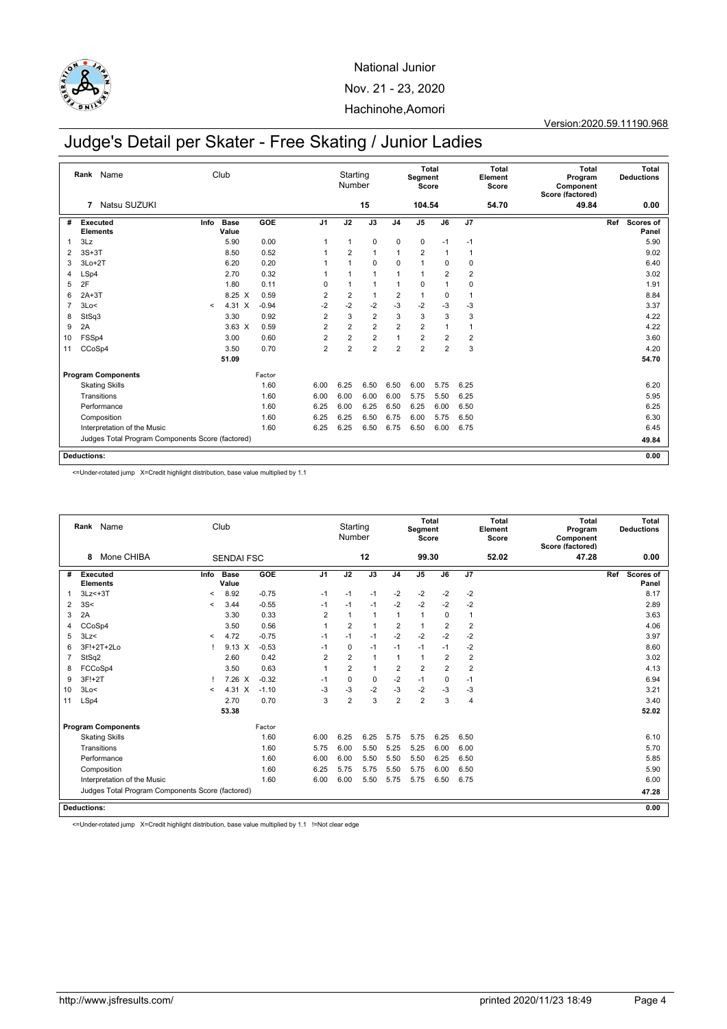

#### Version:2020.59.11190.968

# Judge's Detail per Skater - Free Skating / Junior Ladies

|    | Rank Name                                        |         | Club                 |         |                | Starting<br>Number |                |                | Segment<br>Score | Total          |                         | <b>Total</b><br>Element<br>Score | <b>Total</b><br>Program<br>Component<br>Score (factored) |     | Total<br><b>Deductions</b> |
|----|--------------------------------------------------|---------|----------------------|---------|----------------|--------------------|----------------|----------------|------------------|----------------|-------------------------|----------------------------------|----------------------------------------------------------|-----|----------------------------|
|    | Natsu SUZUKI<br>7                                |         |                      |         |                |                    | 15             |                | 104.54           |                |                         | 54.70                            | 49.84                                                    |     | 0.00                       |
| #  | Executed<br><b>Elements</b>                      | Info    | <b>Base</b><br>Value | GOE     | J <sub>1</sub> | J2                 | J3             | J <sub>4</sub> | J <sub>5</sub>   | J6             | J7                      |                                  |                                                          | Ref | <b>Scores of</b><br>Panel  |
|    | 3Lz                                              |         | 5.90                 | 0.00    | -1             | $\mathbf{1}$       | $\mathbf 0$    | $\mathbf 0$    | $\mathbf 0$      | $-1$           | $-1$                    |                                  |                                                          |     | 5.90                       |
| 2  | $3S+3T$                                          |         | 8.50                 | 0.52    |                | $\overline{2}$     | $\overline{1}$ | 1              | $\overline{2}$   | 1              | $\overline{1}$          |                                  |                                                          |     | 9.02                       |
| 3  | $3Lo+2T$                                         |         | 6.20                 | 0.20    |                | $\mathbf{1}$       | $\mathbf 0$    | $\mathbf 0$    | $\mathbf{1}$     | 0              | 0                       |                                  |                                                          |     | 6.40                       |
| 4  | LSp4                                             |         | 2.70                 | 0.32    |                | $\overline{1}$     | $\overline{1}$ | 1              | 1                | $\overline{2}$ | $\overline{2}$          |                                  |                                                          |     | 3.02                       |
| 5  | 2F                                               |         | 1.80                 | 0.11    | 0              | $\mathbf{1}$       | 1              | 1              | 0                | 1              | 0                       |                                  |                                                          |     | 1.91                       |
| 6  | $2A+3T$                                          |         | 8.25 X               | 0.59    | $\overline{2}$ | $\overline{2}$     | $\overline{1}$ | $\overline{2}$ | $\mathbf{1}$     | $\mathbf 0$    | $\mathbf{1}$            |                                  |                                                          |     | 8.84                       |
| 7  | 3Lo<                                             | $\prec$ | 4.31 X               | $-0.94$ | -2             | $-2$               | $-2$           | $-3$           | $-2$             | -3             | $-3$                    |                                  |                                                          |     | 3.37                       |
| 8  | StSq3                                            |         | 3.30                 | 0.92    | $\overline{2}$ | 3                  | 2              | 3              | 3                | 3              | 3                       |                                  |                                                          |     | 4.22                       |
| 9  | 2A                                               |         | $3.63 \times$        | 0.59    | $\overline{2}$ | $\overline{2}$     | $\overline{2}$ | $\overline{2}$ | $\overline{2}$   | 1              | $\overline{1}$          |                                  |                                                          |     | 4.22                       |
| 10 | FSSp4                                            |         | 3.00                 | 0.60    | $\overline{2}$ | $\overline{2}$     | $\overline{2}$ | 1              | $\overline{2}$   | $\overline{2}$ | $\overline{\mathbf{c}}$ |                                  |                                                          |     | 3.60                       |
| 11 | CCoSp4                                           |         | 3.50                 | 0.70    | $\overline{2}$ | $\overline{2}$     | $\overline{2}$ | $\overline{2}$ | $\overline{2}$   | $\overline{2}$ | 3                       |                                  |                                                          |     | 4.20                       |
|    |                                                  |         | 51.09                |         |                |                    |                |                |                  |                |                         |                                  |                                                          |     | 54.70                      |
|    | <b>Program Components</b>                        |         |                      | Factor  |                |                    |                |                |                  |                |                         |                                  |                                                          |     |                            |
|    | <b>Skating Skills</b>                            |         |                      | 1.60    | 6.00           | 6.25               | 6.50           | 6.50           | 6.00             | 5.75           | 6.25                    |                                  |                                                          |     | 6.20                       |
|    | Transitions                                      |         |                      | 1.60    | 6.00           | 6.00               | 6.00           | 6.00           | 5.75             | 5.50           | 6.25                    |                                  |                                                          |     | 5.95                       |
|    | Performance                                      |         |                      | 1.60    | 6.25           | 6.00               | 6.25           | 6.50           | 6.25             | 6.00           | 6.50                    |                                  |                                                          |     | 6.25                       |
|    | Composition                                      |         |                      | 1.60    | 6.25           | 6.25               | 6.50           | 6.75           | 6.00             | 5.75           | 6.50                    |                                  |                                                          |     | 6.30                       |
|    | Interpretation of the Music                      |         |                      | 1.60    | 6.25           | 6.25               | 6.50           | 6.75           | 6.50             | 6.00           | 6.75                    |                                  |                                                          |     | 6.45                       |
|    | Judges Total Program Components Score (factored) |         |                      |         |                |                    |                |                |                  |                |                         |                                  |                                                          |     | 49.84                      |
|    | <b>Deductions:</b>                               |         |                      |         |                |                    |                |                |                  |                |                         |                                  |                                                          |     | 0.00                       |

<=Under-rotated jump X=Credit highlight distribution, base value multiplied by 1.1

|    | Rank Name                                        |         | Club                 |         |                | Starting<br>Number |                |                | Segment<br>Score | Total          |                | <b>Total</b><br>Element<br>Score | <b>Total</b><br>Program<br>Component<br>Score (factored) | Total<br><b>Deductions</b>       |
|----|--------------------------------------------------|---------|----------------------|---------|----------------|--------------------|----------------|----------------|------------------|----------------|----------------|----------------------------------|----------------------------------------------------------|----------------------------------|
|    | Mone CHIBA<br>8                                  |         | <b>SENDAI FSC</b>    |         |                |                    | 12             |                | 99.30            |                |                | 52.02                            | 47.28                                                    | 0.00                             |
| #  | <b>Executed</b><br><b>Elements</b>               | Info    | <b>Base</b><br>Value | GOE     | J <sub>1</sub> | J2                 | J3             | J <sub>4</sub> | J <sub>5</sub>   | J6             | J7             |                                  |                                                          | Ref<br><b>Scores of</b><br>Panel |
| 1  | $3Lz<+3T$                                        | $\prec$ | 8.92                 | $-0.75$ | $-1$           | $-1$               | $-1$           | $-2$           | $-2$             | $-2$           | $-2$           |                                  |                                                          | 8.17                             |
| 2  | 3S<                                              | $\prec$ | 3.44                 | $-0.55$ | $-1$           | $-1$               | $-1$           | $-2$           | $-2$             | $-2$           | $-2$           |                                  |                                                          | 2.89                             |
| 3  | 2A                                               |         | 3.30                 | 0.33    | $\overline{2}$ | $\mathbf{1}$       | $\mathbf{1}$   | 1              | $\mathbf{1}$     | $\mathbf 0$    | $\mathbf{1}$   |                                  |                                                          | 3.63                             |
| 4  | CCoSp4                                           |         | 3.50                 | 0.56    | $\mathbf{1}$   | $\overline{2}$     | $\overline{1}$ | $\overline{2}$ | $\mathbf{1}$     | $\overline{2}$ | $\overline{2}$ |                                  |                                                          | 4.06                             |
| 5  | 3Lz<                                             | $\,<$   | 4.72                 | $-0.75$ | $-1$           | $-1$               | $-1$           | $-2$           | $-2$             | $-2$           | $-2$           |                                  |                                                          | 3.97                             |
| 6  | 3F!+2T+2Lo                                       |         | $9.13 \times$        | $-0.53$ | $-1$           | $\mathbf 0$        | $-1$           | $-1$           | $-1$             | $-1$           | $-2$           |                                  |                                                          | 8.60                             |
| 7  | StSq2                                            |         | 2.60                 | 0.42    | $\overline{2}$ | $\overline{2}$     | $\mathbf{1}$   | 1              | $\mathbf{1}$     | $\overline{2}$ | $\overline{2}$ |                                  |                                                          | 3.02                             |
| 8  | FCCoSp4                                          |         | 3.50                 | 0.63    | $\overline{1}$ | $\overline{2}$     | $\mathbf{1}$   | $\overline{2}$ | $\overline{2}$   | $\overline{2}$ | $\overline{2}$ |                                  |                                                          | 4.13                             |
| 9  | 3F!+2T                                           |         | 7.26 X               | $-0.32$ | $-1$           | $\mathbf 0$        | $\mathbf 0$    | $-2$           | $-1$             | $\mathbf 0$    | $-1$           |                                  |                                                          | 6.94                             |
| 10 | 3Lo<                                             | $\prec$ | $4.31 \times$        | $-1.10$ | $-3$           | $-3$               | $-2$           | $-3$           | $-2$             | $-3$           | $-3$           |                                  |                                                          | 3.21                             |
| 11 | LSp4                                             |         | 2.70                 | 0.70    | 3              | $\overline{2}$     | 3              | $\overline{2}$ | $\overline{2}$   | 3              | $\overline{4}$ |                                  |                                                          | 3.40                             |
|    |                                                  |         | 53.38                |         |                |                    |                |                |                  |                |                |                                  |                                                          | 52.02                            |
|    | <b>Program Components</b>                        |         |                      | Factor  |                |                    |                |                |                  |                |                |                                  |                                                          |                                  |
|    | <b>Skating Skills</b>                            |         |                      | 1.60    | 6.00           | 6.25               | 6.25           | 5.75           | 5.75             | 6.25           | 6.50           |                                  |                                                          | 6.10                             |
|    | Transitions                                      |         |                      | 1.60    | 5.75           | 6.00               | 5.50           | 5.25           | 5.25             | 6.00           | 6.00           |                                  |                                                          | 5.70                             |
|    | Performance                                      |         |                      | 1.60    | 6.00           | 6.00               | 5.50           | 5.50           | 5.50             | 6.25           | 6.50           |                                  |                                                          | 5.85                             |
|    | Composition                                      |         |                      | 1.60    | 6.25           | 5.75               | 5.75           | 5.50           | 5.75             | 6.00           | 6.50           |                                  |                                                          | 5.90                             |
|    | Interpretation of the Music                      |         |                      | 1.60    | 6.00           | 6.00               | 5.50           | 5.75           | 5.75             | 6.50           | 6.75           |                                  |                                                          | 6.00                             |
|    | Judges Total Program Components Score (factored) |         |                      |         |                |                    |                |                |                  |                |                |                                  |                                                          | 47.28                            |
|    | Deductions:                                      |         |                      |         |                |                    |                |                |                  |                |                |                                  |                                                          | 0.00                             |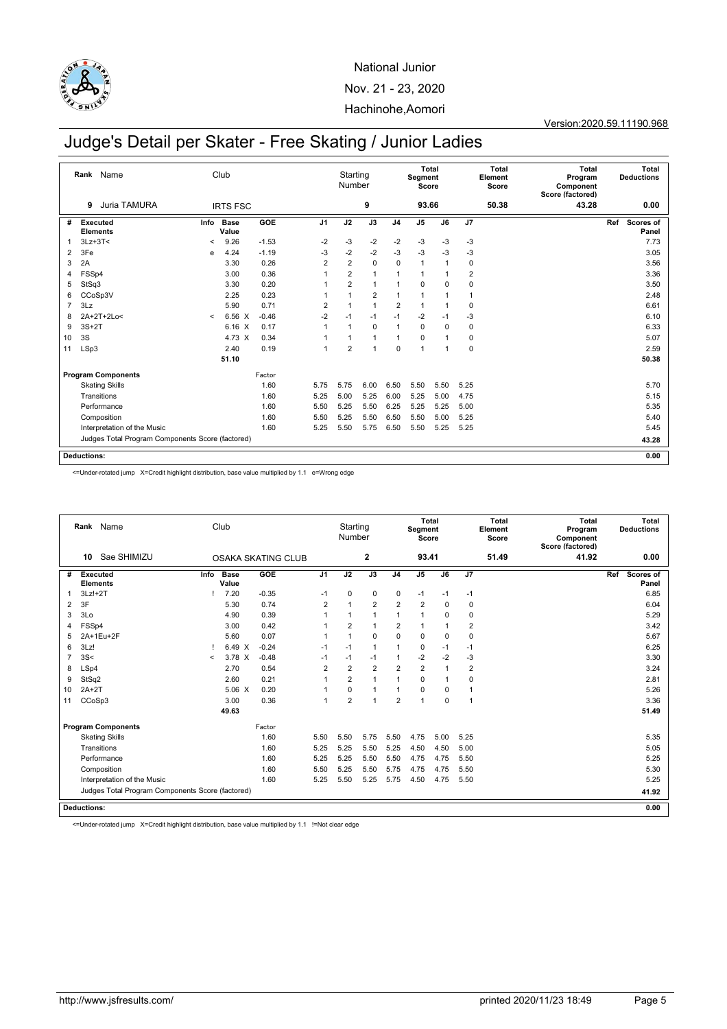

Version:2020.59.11190.968

# Judge's Detail per Skater - Free Skating / Junior Ladies

|                | Name<br>Rank                                     |         | Club                 |         |                | Starting<br>Number |                |                | Segment<br>Score | Total       |                | <b>Total</b><br>Element<br>Score | <b>Total</b><br>Program<br>Component<br>Score (factored) | Total<br><b>Deductions</b> |
|----------------|--------------------------------------------------|---------|----------------------|---------|----------------|--------------------|----------------|----------------|------------------|-------------|----------------|----------------------------------|----------------------------------------------------------|----------------------------|
|                | Juria TAMURA<br>9                                |         | <b>IRTS FSC</b>      |         |                |                    | 9              |                | 93.66            |             |                | 50.38                            | 43.28                                                    | 0.00                       |
| #              | Executed<br><b>Elements</b>                      | Info    | <b>Base</b><br>Value | GOE     | J <sub>1</sub> | J2                 | J3             | J <sub>4</sub> | J5               | J6          | J7             |                                  |                                                          | Scores of<br>Ref<br>Panel  |
| 1              | $3Lz + 3T <$                                     | $\,<$   | 9.26                 | $-1.53$ | $-2$           | $-3$               | $-2$           | $-2$           | $-3$             | $-3$        | -3             |                                  |                                                          | 7.73                       |
| 2              | 3Fe                                              | e       | 4.24                 | $-1.19$ | $-3$           | $-2$               | $-2$           | $-3$           | $-3$             | $-3$        | $-3$           |                                  |                                                          | 3.05                       |
| 3              | 2A                                               |         | 3.30                 | 0.26    | $\overline{2}$ | $\overline{2}$     | 0              | 0              | 1                |             | 0              |                                  |                                                          | 3.56                       |
| 4              | FSSp4                                            |         | 3.00                 | 0.36    |                | $\overline{2}$     | $\mathbf{1}$   | 1              | 1                |             | $\overline{2}$ |                                  |                                                          | 3.36                       |
| 5              | StSq3                                            |         | 3.30                 | 0.20    |                | $\overline{2}$     | $\mathbf{1}$   | 1              | 0                | $\mathbf 0$ | $\mathbf 0$    |                                  |                                                          | 3.50                       |
| 6              | CCoSp3V                                          |         | 2.25                 | 0.23    |                | 1                  | $\overline{2}$ | $\mathbf{1}$   | $\mathbf{1}$     |             | $\overline{1}$ |                                  |                                                          | 2.48                       |
| $\overline{7}$ | 3Lz                                              |         | 5.90                 | 0.71    | $\overline{2}$ |                    | $\mathbf{1}$   | $\overline{2}$ | 1                |             | 0              |                                  |                                                          | 6.61                       |
| 8              | 2A+2T+2Lo<                                       | $\prec$ | 6.56 X               | $-0.46$ | $-2$           | $-1$               | $-1$           | $-1$           | $-2$             | $-1$        | $-3$           |                                  |                                                          | 6.10                       |
| 9              | $3S+2T$                                          |         | 6.16 X               | 0.17    | $\overline{1}$ | 1                  | $\mathbf 0$    | $\mathbf{1}$   | $\mathbf 0$      | 0           | 0              |                                  |                                                          | 6.33                       |
| 10             | 3S                                               |         | 4.73 X               | 0.34    |                |                    | $\mathbf{1}$   | $\overline{1}$ | $\mathbf 0$      |             | 0              |                                  |                                                          | 5.07                       |
| 11             | LSp3                                             |         | 2.40                 | 0.19    | 1              | $\overline{2}$     | $\mathbf{1}$   | 0              | 1                | 1           | $\mathbf 0$    |                                  |                                                          | 2.59                       |
|                |                                                  |         | 51.10                |         |                |                    |                |                |                  |             |                |                                  |                                                          | 50.38                      |
|                | <b>Program Components</b>                        |         |                      | Factor  |                |                    |                |                |                  |             |                |                                  |                                                          |                            |
|                | <b>Skating Skills</b>                            |         |                      | 1.60    | 5.75           | 5.75               | 6.00           | 6.50           | 5.50             | 5.50        | 5.25           |                                  |                                                          | 5.70                       |
|                | Transitions                                      |         |                      | 1.60    | 5.25           | 5.00               | 5.25           | 6.00           | 5.25             | 5.00        | 4.75           |                                  |                                                          | 5.15                       |
|                | Performance                                      |         |                      | 1.60    | 5.50           | 5.25               | 5.50           | 6.25           | 5.25             | 5.25        | 5.00           |                                  |                                                          | 5.35                       |
|                | Composition                                      |         |                      | 1.60    | 5.50           | 5.25               | 5.50           | 6.50           | 5.50             | 5.00        | 5.25           |                                  |                                                          | 5.40                       |
|                | Interpretation of the Music                      |         |                      | 1.60    | 5.25           | 5.50               | 5.75           | 6.50           | 5.50             | 5.25        | 5.25           |                                  |                                                          | 5.45                       |
|                | Judges Total Program Components Score (factored) |         |                      |         |                |                    |                |                |                  |             |                |                                  |                                                          | 43.28                      |
|                | <b>Deductions:</b>                               |         |                      |         |                |                    |                |                |                  |             |                |                                  |                                                          | 0.00                       |

<=Under-rotated jump X=Credit highlight distribution, base value multiplied by 1.1 e=Wrong edge

|                |                    | Rank Name                                        |         | Club                 |                           |                | Starting<br>Number |                |                | Segment<br>Score | <b>Total</b> |                | <b>Total</b><br>Element<br>Score | <b>Total</b><br>Program<br>Component<br>Score (factored) |     | <b>Total</b><br><b>Deductions</b> |
|----------------|--------------------|--------------------------------------------------|---------|----------------------|---------------------------|----------------|--------------------|----------------|----------------|------------------|--------------|----------------|----------------------------------|----------------------------------------------------------|-----|-----------------------------------|
|                | 10                 | Sae SHIMIZU                                      |         |                      | <b>OSAKA SKATING CLUB</b> |                |                    | 2              |                | 93.41            |              |                | 51.49                            | 41.92                                                    |     | 0.00                              |
| #              | <b>Executed</b>    | <b>Elements</b>                                  | Info    | <b>Base</b><br>Value | GOE                       | J <sub>1</sub> | J2                 | J3             | J <sub>4</sub> | J <sub>5</sub>   | J6           | J7             |                                  |                                                          | Ref | Scores of<br>Panel                |
| 1              | $3Lz!+2T$          |                                                  |         | 7.20                 | $-0.35$                   | $-1$           | $\mathbf 0$        | $\mathbf 0$    | 0              | $-1$             | $-1$         | $-1$           |                                  |                                                          |     | 6.85                              |
| 2              | 3F                 |                                                  |         | 5.30                 | 0.74                      | $\overline{2}$ | $\overline{1}$     | $\overline{2}$ | $\overline{2}$ | $\overline{2}$   | 0            | $\mathbf 0$    |                                  |                                                          |     | 6.04                              |
| 3              | 3Lo                |                                                  |         | 4.90                 | 0.39                      | $\overline{1}$ | $\mathbf{1}$       | $\overline{1}$ | 1              | $\mathbf{1}$     | $\Omega$     | 0              |                                  |                                                          |     | 5.29                              |
| 4              | FSSp4              |                                                  |         | 3.00                 | 0.42                      |                | $\overline{2}$     | $\overline{1}$ | $\overline{2}$ | 1                | 1            | $\overline{2}$ |                                  |                                                          |     | 3.42                              |
| 5              |                    | 2A+1Eu+2F                                        |         | 5.60                 | 0.07                      |                | $\mathbf{1}$       | $\mathbf 0$    | $\Omega$       | 0                | $\mathbf 0$  | $\mathbf 0$    |                                  |                                                          |     | 5.67                              |
| 6              | 3Lz!               |                                                  |         | 6.49 X               | $-0.24$                   | $-1$           | $-1$               | $\overline{1}$ | 1              | 0                | $-1$         | $-1$           |                                  |                                                          |     | 6.25                              |
| $\overline{7}$ | 3S<                |                                                  | $\,<\,$ | 3.78 X               | $-0.48$                   | $-1$           | $-1$               | $-1$           | 1              | $-2$             | $-2$         | $-3$           |                                  |                                                          |     | 3.30                              |
| 8              | LSp4               |                                                  |         | 2.70                 | 0.54                      | $\overline{2}$ | $\overline{2}$     | $\overline{2}$ | $\overline{2}$ | $\overline{2}$   | 1            | $\overline{2}$ |                                  |                                                          |     | 3.24                              |
| 9              | StSq2              |                                                  |         | 2.60                 | 0.21                      |                | $\overline{2}$     | $\overline{1}$ | 1              | 0                | 1            | $\mathbf 0$    |                                  |                                                          |     | 2.81                              |
| 10             | $2A+2T$            |                                                  |         | $5.06 \text{ X}$     | 0.20                      | 1              | $\mathbf 0$        | $\overline{1}$ | 1              | 0                | $\mathbf 0$  | $\overline{1}$ |                                  |                                                          |     | 5.26                              |
| 11             | CCoSp3             |                                                  |         | 3.00                 | 0.36                      | $\overline{1}$ | $\overline{2}$     | 1              | $\overline{2}$ | 1                | $\mathbf 0$  | 1              |                                  |                                                          |     | 3.36                              |
|                |                    |                                                  |         | 49.63                |                           |                |                    |                |                |                  |              |                |                                  |                                                          |     | 51.49                             |
|                |                    | <b>Program Components</b>                        |         |                      | Factor                    |                |                    |                |                |                  |              |                |                                  |                                                          |     |                                   |
|                |                    | <b>Skating Skills</b>                            |         |                      | 1.60                      | 5.50           | 5.50               | 5.75           | 5.50           | 4.75             | 5.00         | 5.25           |                                  |                                                          |     | 5.35                              |
|                |                    | Transitions                                      |         |                      | 1.60                      | 5.25           | 5.25               | 5.50           | 5.25           | 4.50             | 4.50         | 5.00           |                                  |                                                          |     | 5.05                              |
|                |                    | Performance                                      |         |                      | 1.60                      | 5.25           | 5.25               | 5.50           | 5.50           | 4.75             | 4.75         | 5.50           |                                  |                                                          |     | 5.25                              |
|                |                    | Composition                                      |         |                      | 1.60                      | 5.50           | 5.25               | 5.50           | 5.75           | 4.75             | 4.75         | 5.50           |                                  |                                                          |     | 5.30                              |
|                |                    | Interpretation of the Music                      |         |                      | 1.60                      | 5.25           | 5.50               | 5.25           | 5.75           | 4.50             | 4.75         | 5.50           |                                  |                                                          |     | 5.25                              |
|                |                    | Judges Total Program Components Score (factored) |         |                      |                           |                |                    |                |                |                  |              |                |                                  |                                                          |     | 41.92                             |
|                | <b>Deductions:</b> |                                                  |         |                      |                           |                |                    |                |                |                  |              |                |                                  |                                                          |     | 0.00                              |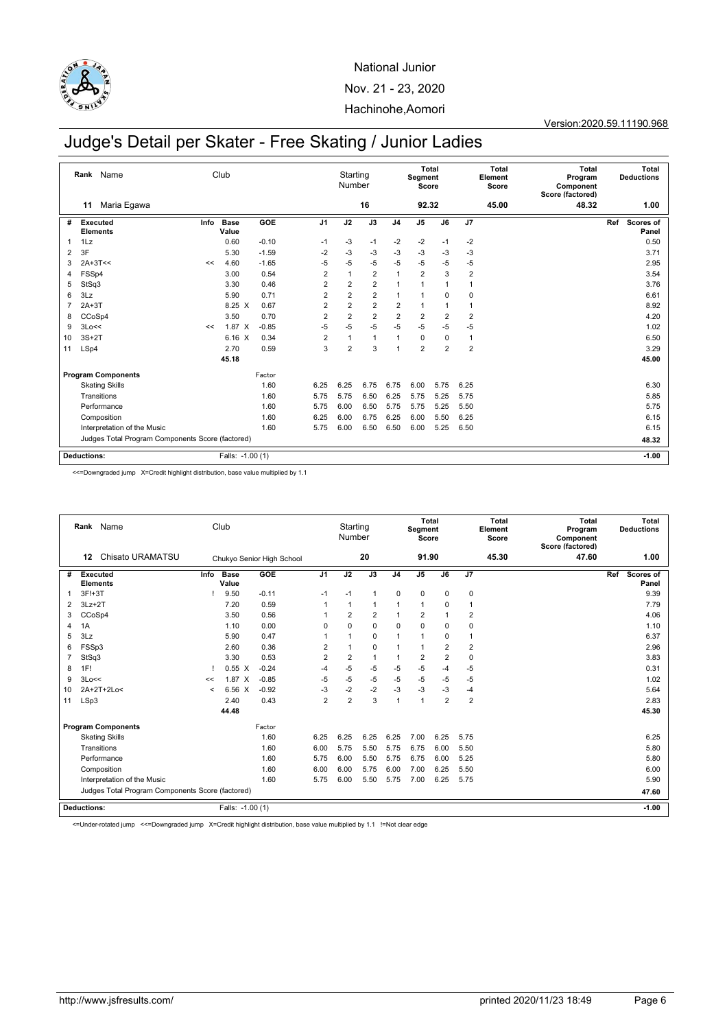

#### Version:2020.59.11190.968

# Judge's Detail per Skater - Free Skating / Junior Ladies

|    | Rank                               | Name                                             |      | Club             |         |                | Starting<br>Number |                |                | Segment<br>Score | Total          |                | Total<br>Element<br>Score | Total<br>Program<br>Component<br>Score (factored) |     | Total<br><b>Deductions</b> |
|----|------------------------------------|--------------------------------------------------|------|------------------|---------|----------------|--------------------|----------------|----------------|------------------|----------------|----------------|---------------------------|---------------------------------------------------|-----|----------------------------|
|    | 11                                 | Maria Egawa                                      |      |                  |         |                |                    | 16             |                | 92.32            |                |                | 45.00                     | 48.32                                             |     | 1.00                       |
| #  | <b>Executed</b><br><b>Elements</b> |                                                  | Info | Base<br>Value    | GOE     | J <sub>1</sub> | J2                 | J3             | J <sub>4</sub> | J <sub>5</sub>   | J6             | J7             |                           |                                                   | Ref | Scores of<br>Panel         |
| 1  | 1Lz                                |                                                  |      | 0.60             | $-0.10$ | $-1$           | $-3$               | $-1$           | $-2$           | $-2$             | $-1$           | $-2$           |                           |                                                   |     | 0.50                       |
| 2  | 3F                                 |                                                  |      | 5.30             | $-1.59$ | $-2$           | $-3$               | $-3$           | $-3$           | $-3$             | $-3$           | $-3$           |                           |                                                   |     | 3.71                       |
| 3  | $2A+3T<<$                          |                                                  | <<   | 4.60             | $-1.65$ | $-5$           | $-5$               | $-5$           | $-5$           | $-5$             | -5             | $-5$           |                           |                                                   |     | 2.95                       |
| 4  | FSSp4                              |                                                  |      | 3.00             | 0.54    | $\overline{2}$ | $\overline{1}$     | $\overline{2}$ | $\mathbf{1}$   | $\overline{2}$   | 3              | $\overline{2}$ |                           |                                                   |     | 3.54                       |
| 5  | StSq3                              |                                                  |      | 3.30             | 0.46    | $\overline{2}$ | 2                  | $\overline{2}$ | $\mathbf{1}$   | 1                | 1              | 1              |                           |                                                   |     | 3.76                       |
| 6  | 3Lz                                |                                                  |      | 5.90             | 0.71    | $\overline{2}$ | $\overline{2}$     | $\overline{2}$ | $\overline{1}$ | $\mathbf{1}$     | $\Omega$       | 0              |                           |                                                   |     | 6.61                       |
| 7  | $2A+3T$                            |                                                  |      | 8.25 X           | 0.67    | $\overline{2}$ | $\overline{2}$     | $\overline{2}$ | $\overline{2}$ | $\mathbf{1}$     | 1              | 1              |                           |                                                   |     | 8.92                       |
| 8  | CCoSp4                             |                                                  |      | 3.50             | 0.70    | $\overline{2}$ | $\overline{2}$     | $\overline{2}$ | $\overline{2}$ | $\overline{2}$   | $\overline{2}$ | $\overline{2}$ |                           |                                                   |     | 4.20                       |
| 9  | 3Lo<<                              |                                                  | <<   | $1.87 \times$    | $-0.85$ | $-5$           | $-5$               | $-5$           | $-5$           | $-5$             | $-5$           | $-5$           |                           |                                                   |     | 1.02                       |
| 10 | $3S+2T$                            |                                                  |      | 6.16<br>$\times$ | 0.34    | $\overline{2}$ | $\overline{1}$     | 1              | $\overline{1}$ | $\mathbf 0$      | $\mathbf 0$    | 1              |                           |                                                   |     | 6.50                       |
| 11 | LSp4                               |                                                  |      | 2.70             | 0.59    | 3              | $\overline{2}$     | 3              | $\mathbf{1}$   | $\overline{2}$   | $\overline{2}$ | $\overline{2}$ |                           |                                                   |     | 3.29                       |
|    |                                    |                                                  |      | 45.18            |         |                |                    |                |                |                  |                |                |                           |                                                   |     | 45.00                      |
|    |                                    | <b>Program Components</b>                        |      |                  | Factor  |                |                    |                |                |                  |                |                |                           |                                                   |     |                            |
|    |                                    | <b>Skating Skills</b>                            |      |                  | 1.60    | 6.25           | 6.25               | 6.75           | 6.75           | 6.00             | 5.75           | 6.25           |                           |                                                   |     | 6.30                       |
|    |                                    | Transitions                                      |      |                  | 1.60    | 5.75           | 5.75               | 6.50           | 6.25           | 5.75             | 5.25           | 5.75           |                           |                                                   |     | 5.85                       |
|    |                                    | Performance                                      |      |                  | 1.60    | 5.75           | 6.00               | 6.50           | 5.75           | 5.75             | 5.25           | 5.50           |                           |                                                   |     | 5.75                       |
|    |                                    | Composition                                      |      |                  | 1.60    | 6.25           | 6.00               | 6.75           | 6.25           | 6.00             | 5.50           | 6.25           |                           |                                                   |     | 6.15                       |
|    |                                    | Interpretation of the Music                      |      |                  | 1.60    | 5.75           | 6.00               | 6.50           | 6.50           | 6.00             | 5.25           | 6.50           |                           |                                                   |     | 6.15                       |
|    |                                    | Judges Total Program Components Score (factored) |      |                  |         |                |                    |                |                |                  |                |                |                           |                                                   |     | 48.32                      |
|    | <b>Deductions:</b>                 |                                                  |      | Falls: -1.00 (1) |         |                |                    |                |                |                  |                |                |                           |                                                   |     | $-1.00$                    |

<<=Downgraded jump X=Credit highlight distribution, base value multiplied by 1.1

|    | Rank Name<br>Chisato URAMATSU<br>12              |                  | Club                 |                           |                | Starting<br>Number |                |                | Segment<br>Score | Total          |                | <b>Total</b><br>Element<br>Score | <b>Total</b><br>Program<br>Component<br>Score (factored) | <b>Total</b><br><b>Deductions</b> |
|----|--------------------------------------------------|------------------|----------------------|---------------------------|----------------|--------------------|----------------|----------------|------------------|----------------|----------------|----------------------------------|----------------------------------------------------------|-----------------------------------|
|    |                                                  |                  |                      | Chukyo Senior High School |                |                    | 20             |                | 91.90            |                |                | 45.30                            | 47.60                                                    | 1.00                              |
| #  | <b>Executed</b><br><b>Elements</b>               | Info             | <b>Base</b><br>Value | GOE                       | J <sub>1</sub> | J2                 | J3             | J <sub>4</sub> | J <sub>5</sub>   | J6             | J7             |                                  |                                                          | Ref<br><b>Scores of</b><br>Panel  |
| 1  | $3F!+3T$                                         |                  | 9.50                 | $-0.11$                   | $-1$           | $-1$               | $\mathbf{1}$   | $\mathbf 0$    | $\mathbf 0$      | $\mathbf 0$    | 0              |                                  |                                                          | 9.39                              |
| 2  | $3Lz + 2T$                                       |                  | 7.20                 | 0.59                      |                | $\mathbf{1}$       | -1             | 1              | 1                | 0              | $\mathbf{1}$   |                                  |                                                          | 7.79                              |
| 3  | CCoSp4                                           |                  | 3.50                 | 0.56                      | 1              | $\overline{2}$     | $\overline{2}$ | 1              | $\overline{2}$   | $\overline{1}$ | $\overline{2}$ |                                  |                                                          | 4.06                              |
| 4  | 1A                                               |                  | 1.10                 | 0.00                      | $\Omega$       | $\Omega$           | $\mathbf 0$    | 0              | $\mathbf 0$      | 0              | $\mathbf 0$    |                                  |                                                          | 1.10                              |
| 5  | 3Lz                                              |                  | 5.90                 | 0.47                      | 1              | 1                  | $\mathbf 0$    | 1              | $\mathbf{1}$     | $\mathbf 0$    | $\overline{1}$ |                                  |                                                          | 6.37                              |
| 6  | FSSp3                                            |                  | 2.60                 | 0.36                      | $\overline{2}$ | 1                  | $\mathbf 0$    | 1              | 1                | $\overline{2}$ | $\overline{2}$ |                                  |                                                          | 2.96                              |
| 7  | StSq3                                            |                  | 3.30                 | 0.53                      | $\overline{2}$ | $\overline{2}$     | $\mathbf{1}$   | 1              | $\overline{2}$   | $\overline{2}$ | $\pmb{0}$      |                                  |                                                          | 3.83                              |
| 8  | 1F!                                              |                  | $0.55\ X$            | $-0.24$                   | $-4$           | $-5$               | $-5$           | $-5$           | $-5$             | $-4$           | $-5$           |                                  |                                                          | 0.31                              |
| 9  | 3Lo<<                                            | <<               | $1.87 \times$        | $-0.85$                   | $-5$           | $-5$               | $-5$           | $-5$           | $-5$             | $-5$           | $-5$           |                                  |                                                          | 1.02                              |
| 10 | 2A+2T+2Lo<                                       | $\,<\,$          | 6.56 X               | $-0.92$                   | $-3$           | $-2$               | $-2$           | $-3$           | $-3$             | $-3$           | $-4$           |                                  |                                                          | 5.64                              |
| 11 | LSp3                                             |                  | 2.40                 | 0.43                      | $\overline{2}$ | $\overline{2}$     | 3              | 1              | 1                | $\overline{2}$ | $\overline{2}$ |                                  |                                                          | 2.83                              |
|    |                                                  |                  | 44.48                |                           |                |                    |                |                |                  |                |                |                                  |                                                          | 45.30                             |
|    | <b>Program Components</b>                        |                  |                      | Factor                    |                |                    |                |                |                  |                |                |                                  |                                                          |                                   |
|    | <b>Skating Skills</b>                            |                  |                      | 1.60                      | 6.25           | 6.25               | 6.25           | 6.25           | 7.00             | 6.25           | 5.75           |                                  |                                                          | 6.25                              |
|    | Transitions                                      |                  |                      | 1.60                      | 6.00           | 5.75               | 5.50           | 5.75           | 6.75             | 6.00           | 5.50           |                                  |                                                          | 5.80                              |
|    | Performance                                      |                  |                      | 1.60                      | 5.75           | 6.00               | 5.50           | 5.75           | 6.75             | 6.00           | 5.25           |                                  |                                                          | 5.80                              |
|    | Composition                                      |                  |                      | 1.60                      | 6.00           | 6.00               | 5.75           | 6.00           | 7.00             | 6.25           | 5.50           |                                  |                                                          | 6.00                              |
|    | Interpretation of the Music                      |                  |                      | 1.60                      | 5.75           | 6.00               | 5.50           | 5.75           | 7.00             | 6.25           | 5.75           |                                  |                                                          | 5.90                              |
|    | Judges Total Program Components Score (factored) |                  |                      |                           |                |                    |                |                |                  |                |                | 47.60                            |                                                          |                                   |
|    | Deductions:                                      | Falls: -1.00 (1) |                      |                           |                |                    |                |                |                  |                |                |                                  | $-1.00$                                                  |                                   |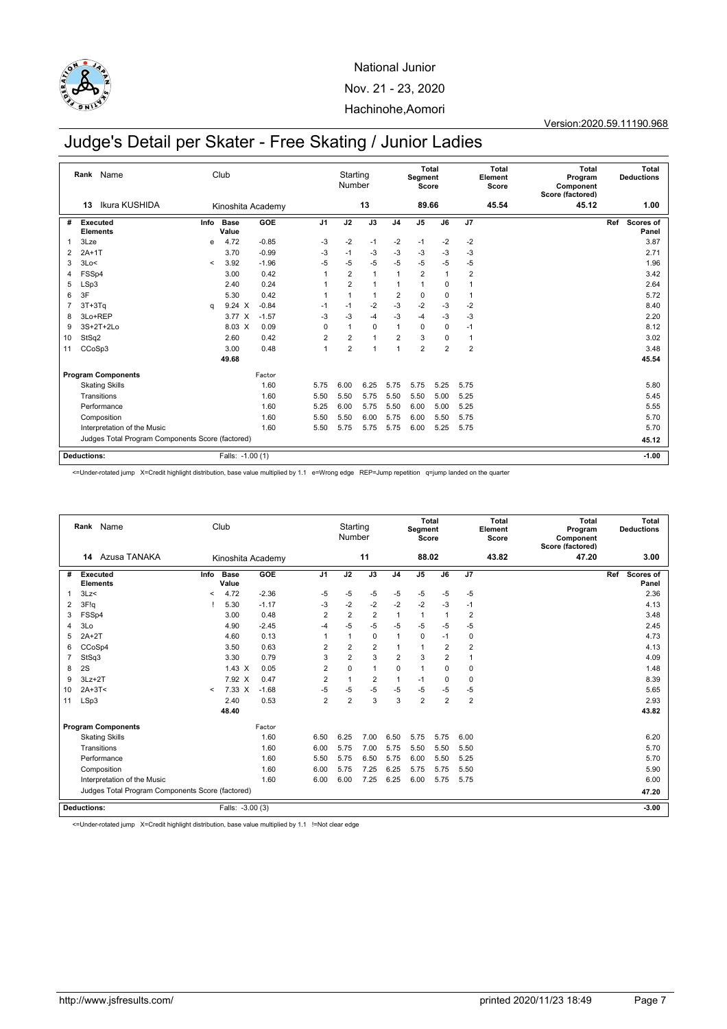

Version:2020.59.11190.968

# Judge's Detail per Skater - Free Skating / Junior Ladies

|    | Rank Name                                        |         | Club                 |         |                | Starting<br>Number |                |                | <b>Total</b><br>Segment<br>Score |                |                | <b>Total</b><br>Element<br>Score | <b>Total</b><br>Program<br>Component<br>Score (factored) |     | Total<br><b>Deductions</b> |
|----|--------------------------------------------------|---------|----------------------|---------|----------------|--------------------|----------------|----------------|----------------------------------|----------------|----------------|----------------------------------|----------------------------------------------------------|-----|----------------------------|
|    | Ikura KUSHIDA<br>13                              |         | Kinoshita Academy    |         |                |                    | 13             |                | 89.66                            |                |                | 45.54                            | 45.12                                                    |     | 1.00                       |
| #  | Executed<br><b>Elements</b>                      | Info    | <b>Base</b><br>Value | GOE     | J <sub>1</sub> | J2                 | J3             | J <sub>4</sub> | J <sub>5</sub>                   | J6             | J7             |                                  |                                                          | Ref | Scores of<br>Panel         |
|    | 3Lze                                             | e       | 4.72                 | $-0.85$ | -3             | $-2$               | $-1$           | -2             | $-1$                             | -2             | $-2$           |                                  |                                                          |     | 3.87                       |
| 2  | $2A+1T$                                          |         | 3.70                 | $-0.99$ | $-3$           | $-1$               | $-3$           | $-3$           | $-3$                             | $-3$           | $-3$           |                                  |                                                          |     | 2.71                       |
| 3  | 3Lo<                                             | $\,<\,$ | 3.92                 | $-1.96$ | $-5$           | $-5$               | $-5$           | $-5$           | $-5$                             | $-5$           | $-5$           |                                  |                                                          |     | 1.96                       |
| 4  | FSSp4                                            |         | 3.00                 | 0.42    | $\overline{1}$ | $\overline{2}$     | $\overline{1}$ | 1              | $\overline{2}$                   | 1              | $\overline{2}$ |                                  |                                                          |     | 3.42                       |
| 5  | LSp3                                             |         | 2.40                 | 0.24    |                | $\overline{2}$     | $\overline{1}$ | 1              | 1                                | $\mathbf 0$    | -1             |                                  |                                                          |     | 2.64                       |
| 6  | 3F                                               |         | 5.30                 | 0.42    | -1             | $\overline{1}$     | $\mathbf{1}$   | $\overline{2}$ | 0                                | $\mathbf 0$    | -1             |                                  |                                                          |     | 5.72                       |
|    | $3T+3Tq$                                         | q       | 9.24 X               | $-0.84$ | $-1$           | $-1$               | $-2$           | $-3$           | $-2$                             | $-3$           | $-2$           |                                  |                                                          |     | 8.40                       |
| 8  | 3Lo+REP                                          |         | 3.77 X               | $-1.57$ | $-3$           | $-3$               | $-4$           | $-3$           | $-4$                             | -3             | $-3$           |                                  |                                                          |     | 2.20                       |
| 9  | 3S+2T+2Lo                                        |         | 8.03 X               | 0.09    | $\mathbf 0$    | 1                  | $\mathbf 0$    | $\mathbf{1}$   | $\mathbf 0$                      | 0              | $-1$           |                                  |                                                          |     | 8.12                       |
| 10 | StSq2                                            |         | 2.60                 | 0.42    | $\overline{2}$ | $\overline{2}$     | $\overline{1}$ | $\overline{2}$ | 3                                | 0              | $\mathbf{1}$   |                                  |                                                          |     | 3.02                       |
| 11 | CCoSp3                                           |         | 3.00                 | 0.48    | $\mathbf{1}$   | $\overline{2}$     | 1              | 1              | $\overline{2}$                   | $\overline{2}$ | $\overline{2}$ |                                  |                                                          |     | 3.48                       |
|    |                                                  |         | 49.68                |         |                |                    |                |                |                                  |                |                |                                  |                                                          |     | 45.54                      |
|    | <b>Program Components</b>                        |         |                      | Factor  |                |                    |                |                |                                  |                |                |                                  |                                                          |     |                            |
|    | <b>Skating Skills</b>                            |         |                      | 1.60    | 5.75           | 6.00               | 6.25           | 5.75           | 5.75                             | 5.25           | 5.75           |                                  |                                                          |     | 5.80                       |
|    | Transitions                                      |         |                      | 1.60    | 5.50           | 5.50               | 5.75           | 5.50           | 5.50                             | 5.00           | 5.25           |                                  |                                                          |     | 5.45                       |
|    | Performance                                      |         |                      | 1.60    | 5.25           | 6.00               | 5.75           | 5.50           | 6.00                             | 5.00           | 5.25           |                                  |                                                          |     | 5.55                       |
|    | Composition                                      |         |                      | 1.60    | 5.50           | 5.50               | 6.00           | 5.75           | 6.00                             | 5.50           | 5.75           |                                  |                                                          |     | 5.70                       |
|    | Interpretation of the Music                      |         |                      | 1.60    | 5.50           | 5.75               | 5.75           | 5.75           | 6.00                             | 5.25           | 5.75           |                                  |                                                          |     | 5.70                       |
|    | Judges Total Program Components Score (factored) |         |                      |         |                |                    |                |                |                                  |                |                |                                  |                                                          |     | 45.12                      |
|    | <b>Deductions:</b>                               |         | Falls: -1.00 (1)     |         |                |                    |                |                |                                  |                |                |                                  |                                                          |     | $-1.00$                    |

<=Under-rotated jump X=Credit highlight distribution, base value multiplied by 1.1 e=Wrong edge REP=Jump repetition q=jump landed on the quarter

|    | Rank Name                                        |                          | Club                 |         |                | Starting<br>Number |                |                | Segment<br>Score | Total          |                | <b>Total</b><br>Element<br>Score | <b>Total</b><br>Program<br>Component<br>Score (factored) |     | Total<br><b>Deductions</b> |
|----|--------------------------------------------------|--------------------------|----------------------|---------|----------------|--------------------|----------------|----------------|------------------|----------------|----------------|----------------------------------|----------------------------------------------------------|-----|----------------------------|
|    | Azusa TANAKA<br>14                               |                          | Kinoshita Academy    |         |                |                    | 11             |                | 88.02            |                |                | 43.82                            | 47.20                                                    |     | 3.00                       |
| #  | <b>Executed</b><br><b>Elements</b>               | Info                     | <b>Base</b><br>Value | GOE     | J <sub>1</sub> | J2                 | J3             | J <sub>4</sub> | J <sub>5</sub>   | J6             | J7             |                                  |                                                          | Ref | Scores of<br>Panel         |
|    | 3Lz<                                             | $\overline{\phantom{a}}$ | 4.72                 | $-2.36$ | $-5$           | $-5$               | $-5$           | $-5$           | $-5$             | $-5$           | $-5$           |                                  |                                                          |     | 2.36                       |
| 2  | 3F!q                                             |                          | 5.30                 | $-1.17$ | -3             | $-2$               | $-2$           | $-2$           | $-2$             | $-3$           | $-1$           |                                  |                                                          |     | 4.13                       |
| 3  | FSSp4                                            |                          | 3.00                 | 0.48    | $\overline{2}$ | $\overline{2}$     | $\overline{2}$ | 1              | $\mathbf{1}$     | 1              | $\overline{2}$ |                                  |                                                          |     | 3.48                       |
| 4  | 3 <sub>LO</sub>                                  |                          | 4.90                 | $-2.45$ | $-4$           | $-5$               | $-5$           | $-5$           | $-5$             | $-5$           | $-5$           |                                  |                                                          |     | 2.45                       |
| 5  | $2A+2T$                                          |                          | 4.60                 | 0.13    | 1              | $\mathbf{1}$       | $\mathbf 0$    | $\overline{1}$ | $\mathbf 0$      | $-1$           | 0              |                                  |                                                          |     | 4.73                       |
| 6  | CCoSp4                                           |                          | 3.50                 | 0.63    | $\overline{2}$ | $\overline{2}$     | $\overline{2}$ |                | $\mathbf{1}$     | $\overline{2}$ | $\overline{2}$ |                                  |                                                          |     | 4.13                       |
| 7  | StSq3                                            |                          | 3.30                 | 0.79    | 3              | $\overline{2}$     | 3              | $\overline{2}$ | 3                | $\overline{2}$ | 1              |                                  |                                                          |     | 4.09                       |
| 8  | 2S                                               |                          | $1.43 \times$        | 0.05    | $\overline{2}$ | $\mathbf 0$        | $\overline{1}$ | $\mathbf 0$    | $\mathbf{1}$     | 0              | $\mathbf 0$    |                                  |                                                          |     | 1.48                       |
| 9  | $3Lz + 2T$                                       |                          | 7.92 X               | 0.47    | $\overline{2}$ | $\mathbf{1}$       | $\overline{2}$ | $\overline{1}$ | $-1$             | 0              | $\mathbf 0$    |                                  |                                                          |     | 8.39                       |
| 10 | $2A+3T<$                                         | $\prec$                  | 7.33 X               | $-1.68$ | -5             | $-5$               | $-5$           | $-5$           | $-5$             | -5             | $-5$           |                                  |                                                          |     | 5.65                       |
| 11 | LSp3                                             |                          | 2.40                 | 0.53    | $\overline{2}$ | $\overline{2}$     | 3              | 3              | $\overline{2}$   | $\overline{2}$ | $\overline{2}$ |                                  |                                                          |     | 2.93                       |
|    |                                                  |                          | 48.40                |         |                |                    |                |                |                  |                |                |                                  |                                                          |     | 43.82                      |
|    | <b>Program Components</b>                        |                          |                      | Factor  |                |                    |                |                |                  |                |                |                                  |                                                          |     |                            |
|    | <b>Skating Skills</b>                            |                          |                      | 1.60    | 6.50           | 6.25               | 7.00           | 6.50           | 5.75             | 5.75           | 6.00           |                                  |                                                          |     | 6.20                       |
|    | Transitions                                      |                          |                      | 1.60    | 6.00           | 5.75               | 7.00           | 5.75           | 5.50             | 5.50           | 5.50           |                                  |                                                          |     | 5.70                       |
|    | Performance                                      |                          |                      | 1.60    | 5.50           | 5.75               | 6.50           | 5.75           | 6.00             | 5.50           | 5.25           |                                  |                                                          |     | 5.70                       |
|    | Composition                                      |                          |                      | 1.60    | 6.00           | 5.75               | 7.25           | 6.25           | 5.75             | 5.75           | 5.50           |                                  |                                                          |     | 5.90                       |
|    | Interpretation of the Music                      |                          |                      | 1.60    | 6.00           | 6.00               | 7.25           | 6.25           | 6.00             | 5.75           | 5.75           |                                  |                                                          |     | 6.00                       |
|    | Judges Total Program Components Score (factored) |                          |                      |         |                |                    |                |                |                  |                |                |                                  |                                                          |     | 47.20                      |
|    | Deductions:                                      |                          | Falls: -3.00 (3)     |         |                |                    |                |                |                  |                |                |                                  |                                                          |     | $-3.00$                    |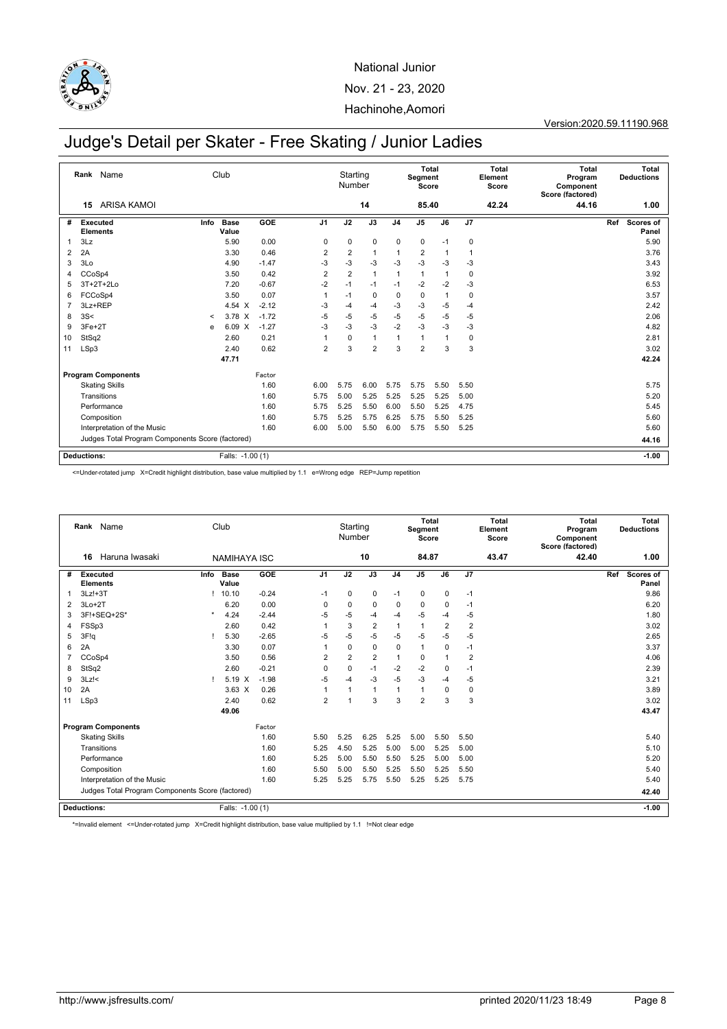

#### Version:2020.59.11190.968

# Judge's Detail per Skater - Free Skating / Junior Ladies

|    |                    | Rank Name                                        |         | Club             |         |                | Starting<br>Number |                |                | Segment<br>Score | Total        |             | <b>Total</b><br>Element<br>Score | Total<br>Program<br>Component<br>Score (factored) | <b>Total</b><br><b>Deductions</b> |
|----|--------------------|--------------------------------------------------|---------|------------------|---------|----------------|--------------------|----------------|----------------|------------------|--------------|-------------|----------------------------------|---------------------------------------------------|-----------------------------------|
|    | 15                 | <b>ARISA KAMOL</b>                               |         |                  |         |                |                    | 14             |                | 85.40            |              |             | 42.24                            | 44.16                                             | 1.00                              |
| #  | Executed           | <b>Elements</b>                                  | Info    | Base<br>Value    | GOE     | J <sub>1</sub> | J2                 | J3             | J <sub>4</sub> | J <sub>5</sub>   | J6           | J7          |                                  |                                                   | Scores of<br>Ref<br>Panel         |
| 1  | 3Lz                |                                                  |         | 5.90             | 0.00    | $\mathbf 0$    | $\mathbf 0$        | $\mathbf 0$    | $\mathbf 0$    | 0                | $-1$         | $\mathbf 0$ |                                  |                                                   | 5.90                              |
| 2  | 2A                 |                                                  |         | 3.30             | 0.46    | $\overline{2}$ | $\overline{2}$     | 1              | $\overline{1}$ | $\overline{2}$   | $\mathbf{1}$ | 1           |                                  |                                                   | 3.76                              |
| 3  | 3Lo                |                                                  |         | 4.90             | $-1.47$ | $-3$           | $-3$               | $-3$           | $-3$           | $-3$             | $-3$         | $-3$        |                                  |                                                   | 3.43                              |
| 4  | CCoSp4             |                                                  |         | 3.50             | 0.42    | $\overline{2}$ | 2                  | $\mathbf{1}$   | $\overline{1}$ | 1                | 1            | $\mathbf 0$ |                                  |                                                   | 3.92                              |
| 5  |                    | $3T+2T+2Lo$                                      |         | 7.20             | $-0.67$ | $-2$           | $-1$               | $-1$           | $-1$           | $-2$             | $-2$         | $-3$        |                                  |                                                   | 6.53                              |
| 6  |                    | FCCoSp4                                          |         | 3.50             | 0.07    | 1              | $-1$               | $\mathbf 0$    | $\mathbf 0$    | $\mathbf 0$      | $\mathbf{1}$ | 0           |                                  |                                                   | 3.57                              |
| 7  | 3Lz+REP            |                                                  |         | 4.54 $\times$    | $-2.12$ | $-3$           | $-4$               | $-4$           | $-3$           | $-3$             | $-5$         | $-4$        |                                  |                                                   | 2.42                              |
| 8  | 3S<                |                                                  | $\,<\,$ | 3.78 X           | $-1.72$ | $-5$           | $-5$               | $-5$           | $-5$           | $-5$             | $-5$         | $-5$        |                                  |                                                   | 2.06                              |
| 9  | 3Fe+2T             |                                                  | e       | 6.09 X           | $-1.27$ | -3             | $-3$               | $-3$           | $-2$           | $-3$             | $-3$         | $-3$        |                                  |                                                   | 4.82                              |
| 10 | StSq2              |                                                  |         | 2.60             | 0.21    |                | $\mathbf 0$        | 1              | 1              | 1                | 1            | 0           |                                  |                                                   | 2.81                              |
| 11 | LSp3               |                                                  |         | 2.40             | 0.62    | $\overline{2}$ | 3                  | $\overline{2}$ | 3              | $\overline{2}$   | 3            | 3           |                                  |                                                   | 3.02                              |
|    |                    |                                                  |         | 47.71            |         |                |                    |                |                |                  |              |             |                                  |                                                   | 42.24                             |
|    |                    | <b>Program Components</b>                        |         |                  | Factor  |                |                    |                |                |                  |              |             |                                  |                                                   |                                   |
|    |                    | <b>Skating Skills</b>                            |         |                  | 1.60    | 6.00           | 5.75               | 6.00           | 5.75           | 5.75             | 5.50         | 5.50        |                                  |                                                   | 5.75                              |
|    |                    | Transitions                                      |         |                  | 1.60    | 5.75           | 5.00               | 5.25           | 5.25           | 5.25             | 5.25         | 5.00        |                                  |                                                   | 5.20                              |
|    |                    | Performance                                      |         |                  | 1.60    | 5.75           | 5.25               | 5.50           | 6.00           | 5.50             | 5.25         | 4.75        |                                  |                                                   | 5.45                              |
|    |                    | Composition                                      |         |                  | 1.60    | 5.75           | 5.25               | 5.75           | 6.25           | 5.75             | 5.50         | 5.25        |                                  |                                                   | 5.60                              |
|    |                    | Interpretation of the Music                      |         |                  | 1.60    | 6.00           | 5.00               | 5.50           | 6.00           | 5.75             | 5.50         | 5.25        |                                  |                                                   | 5.60                              |
|    |                    | Judges Total Program Components Score (factored) |         |                  |         |                |                    |                |                |                  |              |             |                                  |                                                   | 44.16                             |
|    | <b>Deductions:</b> |                                                  |         | Falls: -1.00 (1) |         |                |                    |                |                |                  |              |             |                                  |                                                   | $-1.00$                           |

<=Under-rotated jump X=Credit highlight distribution, base value multiplied by 1.1 e=Wrong edge REP=Jump repetition

|    | Rank Name<br>Haruna Iwasaki<br>16                |      | Club                |         |                | Starting<br>Number | 10             |                | <b>Total</b><br>Segment<br>Score<br>84.87 |                |                | <b>Total</b><br>Element<br>Score<br>43.47 | Total<br>Program<br>Component<br>Score (factored)<br>42.40 | Total<br><b>Deductions</b><br>1.00 |
|----|--------------------------------------------------|------|---------------------|---------|----------------|--------------------|----------------|----------------|-------------------------------------------|----------------|----------------|-------------------------------------------|------------------------------------------------------------|------------------------------------|
|    |                                                  |      | <b>NAMIHAYA ISC</b> |         |                |                    |                |                |                                           |                |                |                                           |                                                            |                                    |
| #  | <b>Executed</b><br><b>Elements</b>               | Info | Base<br>Value       | GOE     | J <sub>1</sub> | J2                 | J3             | J <sub>4</sub> | J <sub>5</sub>                            | J6             | J7             |                                           |                                                            | Ref<br>Scores of<br>Panel          |
| 1  | $3Lz!+3T$                                        |      | 10.10               | $-0.24$ | $-1$           | $\mathbf 0$        | $\mathbf 0$    | $-1$           | $\mathbf 0$                               | $\mathbf 0$    | $-1$           |                                           |                                                            | 9.86                               |
| 2  | $3Lo+2T$                                         |      | 6.20                | 0.00    | 0              | $\mathbf 0$        | 0              | $\mathbf 0$    | 0                                         | 0              | $-1$           |                                           |                                                            | 6.20                               |
| 3  | 3F!+SEQ+2S*                                      |      | 4.24                | $-2.44$ | $-5$           | $-5$               | $-4$           | $-4$           | $-5$                                      | -4             | $-5$           |                                           |                                                            | 1.80                               |
| 4  | FSSp3                                            |      | 2.60                | 0.42    | 1              | 3                  | $\overline{2}$ | 1              | $\mathbf{1}$                              | $\overline{2}$ | $\overline{2}$ |                                           |                                                            | 3.02                               |
| 5  | 3F!q                                             |      | 5.30                | $-2.65$ | $-5$           | $-5$               | $-5$           | $-5$           | $-5$                                      | $-5$           | $-5$           |                                           |                                                            | 2.65                               |
| 6  | 2A                                               |      | 3.30                | 0.07    | 1              | $\Omega$           | $\mathbf 0$    | $\Omega$       | $\mathbf{1}$                              | $\mathbf 0$    | $-1$           |                                           |                                                            | 3.37                               |
| 7  | CCoSp4                                           |      | 3.50                | 0.56    | $\overline{2}$ | $\overline{2}$     | $\overline{2}$ | 1              | 0                                         | 1              | $\overline{2}$ |                                           |                                                            | 4.06                               |
| 8  | StSq2                                            |      | 2.60                | $-0.21$ | $\Omega$       | $\mathbf 0$        | $-1$           | $-2$           | $-2$                                      | $\mathbf 0$    | $-1$           |                                           |                                                            | 2.39                               |
| 9  | $3Lz$ !<                                         |      | 5.19 X              | $-1.98$ | $-5$           | $-4$               | $-3$           | $-5$           | $-3$                                      | $-4$           | $-5$           |                                           |                                                            | 3.21                               |
| 10 | 2A                                               |      | $3.63 \times$       | 0.26    | 1              | $\overline{1}$     | $\mathbf{1}$   | 1              | 1                                         | 0              | 0              |                                           |                                                            | 3.89                               |
| 11 | LSp3                                             |      | 2.40                | 0.62    | $\overline{2}$ | 1                  | 3              | 3              | $\overline{2}$                            | 3              | 3              |                                           |                                                            | 3.02                               |
|    |                                                  |      | 49.06               |         |                |                    |                |                |                                           |                |                |                                           |                                                            | 43.47                              |
|    | <b>Program Components</b>                        |      |                     | Factor  |                |                    |                |                |                                           |                |                |                                           |                                                            |                                    |
|    | <b>Skating Skills</b>                            |      |                     | 1.60    | 5.50           | 5.25               | 6.25           | 5.25           | 5.00                                      | 5.50           | 5.50           |                                           |                                                            | 5.40                               |
|    | Transitions                                      |      |                     | 1.60    | 5.25           | 4.50               | 5.25           | 5.00           | 5.00                                      | 5.25           | 5.00           |                                           |                                                            | 5.10                               |
|    | Performance                                      |      |                     | 1.60    | 5.25           | 5.00               | 5.50           | 5.50           | 5.25                                      | 5.00           | 5.00           |                                           |                                                            | 5.20                               |
|    | Composition                                      |      |                     | 1.60    | 5.50           | 5.00               | 5.50           | 5.25           | 5.50                                      | 5.25           | 5.50           |                                           |                                                            | 5.40                               |
|    | Interpretation of the Music                      |      |                     | 1.60    | 5.25           | 5.25               | 5.75           | 5.50           | 5.25                                      | 5.25           | 5.75           |                                           |                                                            | 5.40                               |
|    | Judges Total Program Components Score (factored) |      |                     |         |                |                    |                |                |                                           |                |                |                                           |                                                            | 42.40                              |
|    | <b>Deductions:</b>                               |      | Falls: -1.00 (1)    |         |                |                    |                |                |                                           |                |                |                                           |                                                            | $-1.00$                            |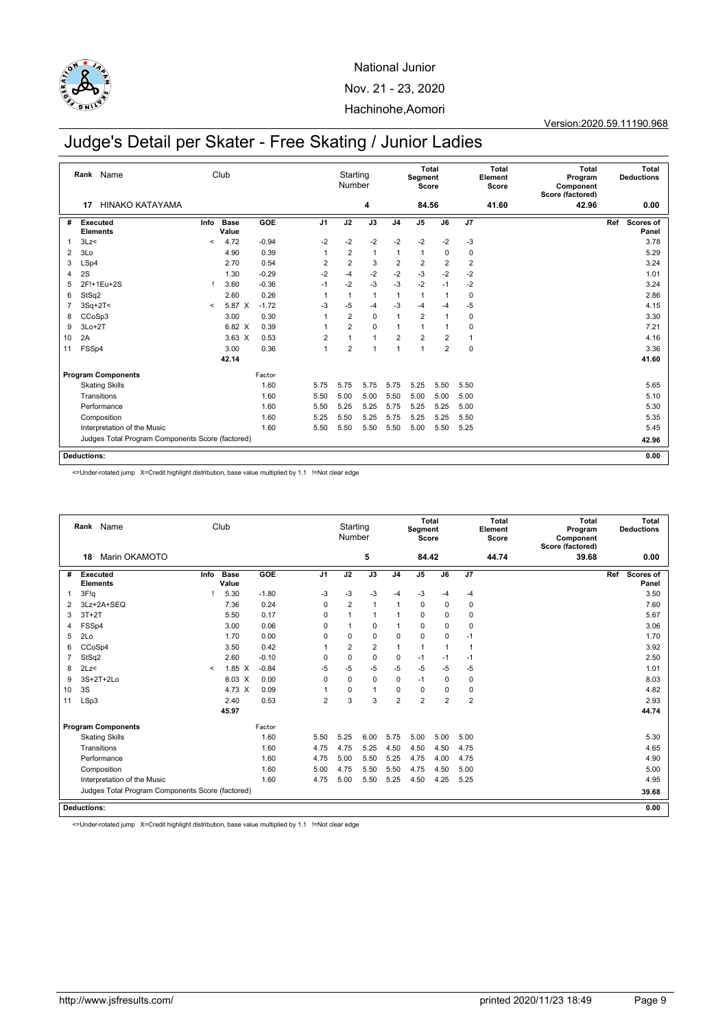

#### Version:2020.59.11190.968

# Judge's Detail per Skater - Free Skating / Junior Ladies

|    | Rank Name                                        |         | Club                 |         |                | Starting<br>Number |                |                | Segment<br>Score | <b>Total</b>   |                         | <b>Total</b><br>Element<br>Score | <b>Total</b><br>Program<br>Component<br>Score (factored) | Total<br><b>Deductions</b> |
|----|--------------------------------------------------|---------|----------------------|---------|----------------|--------------------|----------------|----------------|------------------|----------------|-------------------------|----------------------------------|----------------------------------------------------------|----------------------------|
|    | <b>HINAKO KATAYAMA</b><br>17                     |         |                      |         |                |                    | 4              |                | 84.56            |                |                         | 41.60                            | 42.96                                                    | 0.00                       |
| #  | <b>Executed</b><br><b>Elements</b>               | Info    | <b>Base</b><br>Value | GOE     | J <sub>1</sub> | J2                 | J3             | J <sub>4</sub> | J <sub>5</sub>   | J6             | J7                      |                                  |                                                          | Ref<br>Scores of<br>Panel  |
| 1  | 3Lz<                                             | $\,<\,$ | 4.72                 | $-0.94$ | $-2$           | $-2$               | $-2$           | $-2$           | $-2$             | $-2$           | $-3$                    |                                  |                                                          | 3.78                       |
| 2  | 3 <sub>LO</sub>                                  |         | 4.90                 | 0.39    |                | $\overline{2}$     | $\mathbf{1}$   | 1              | 1                | 0              | $\mathbf 0$             |                                  |                                                          | 5.29                       |
| 3  | LSp4                                             |         | 2.70                 | 0.54    | $\overline{2}$ | $\overline{2}$     | 3              | $\overline{2}$ | $\overline{2}$   | $\overline{2}$ | $\overline{\mathbf{c}}$ |                                  |                                                          | 3.24                       |
| 4  | 2S                                               |         | 1.30                 | $-0.29$ | $-2$           | $-4$               | $-2$           | $-2$           | $-3$             | $-2$           | $-2$                    |                                  |                                                          | 1.01                       |
| 5  | 2F!+1Eu+2S                                       |         | 3.60                 | $-0.36$ | $-1$           | $-2$               | $-3$           | $-3$           | $-2$             | $-1$           | $-2$                    |                                  |                                                          | 3.24                       |
| 6  | StSq2                                            |         | 2.60                 | 0.26    | -1             | 1                  | $\mathbf{1}$   | 1              | 1                | -1             | $\mathbf 0$             |                                  |                                                          | 2.86                       |
|    | $3Sq+2T2$                                        | $\prec$ | 5.87 X               | $-1.72$ | $-3$           | $-5$               | $-4$           | $-3$           | -4               | $-4$           | $-5$                    |                                  |                                                          | 4.15                       |
| 8  | CCoSp3                                           |         | 3.00                 | 0.30    |                | $\overline{2}$     | $\mathbf 0$    | 1              | $\overline{2}$   | 1              | 0                       |                                  |                                                          | 3.30                       |
| 9  | $3Lo+2T$                                         |         | 6.82 X               | 0.39    |                | $\overline{2}$     | $\mathbf 0$    | 1              | 1                | 1              | 0                       |                                  |                                                          | 7.21                       |
| 10 | 2A                                               |         | $3.63 \times$        | 0.53    | $\overline{2}$ |                    | $\overline{1}$ | $\overline{2}$ | $\overline{2}$   | $\overline{2}$ | $\overline{1}$          |                                  |                                                          | 4.16                       |
| 11 | FSSp4                                            |         | 3.00                 | 0.36    | $\mathbf{1}$   | $\overline{2}$     | 1              | 1              | 1                | $\overline{2}$ | 0                       |                                  |                                                          | 3.36                       |
|    |                                                  |         | 42.14                |         |                |                    |                |                |                  |                |                         |                                  |                                                          | 41.60                      |
|    | <b>Program Components</b>                        |         |                      | Factor  |                |                    |                |                |                  |                |                         |                                  |                                                          |                            |
|    | <b>Skating Skills</b>                            |         |                      | 1.60    | 5.75           | 5.75               | 5.75           | 5.75           | 5.25             | 5.50           | 5.50                    |                                  |                                                          | 5.65                       |
|    | Transitions                                      |         |                      | 1.60    | 5.50           | 5.00               | 5.00           | 5.50           | 5.00             | 5.00           | 5.00                    |                                  |                                                          | 5.10                       |
|    | Performance                                      |         |                      | 1.60    | 5.50           | 5.25               | 5.25           | 5.75           | 5.25             | 5.25           | 5.00                    |                                  |                                                          | 5.30                       |
|    | Composition                                      |         |                      | 1.60    | 5.25           | 5.50               | 5.25           | 5.75           | 5.25             | 5.25           | 5.50                    |                                  |                                                          | 5.35                       |
|    | Interpretation of the Music                      |         |                      | 1.60    | 5.50           | 5.50               | 5.50           | 5.50           | 5.00             | 5.50           | 5.25                    |                                  |                                                          | 5.45                       |
|    | Judges Total Program Components Score (factored) |         |                      |         |                |                    |                |                |                  |                |                         |                                  |                                                          | 42.96                      |
|    | <b>Deductions:</b>                               |         |                      |         |                |                    |                |                |                  |                |                         |                                  |                                                          | 0.00                       |

<=Under-rotated jump X=Credit highlight distribution, base value multiplied by 1.1 !=Not clear edge

|    |                                    | Rank Name                                        |         | Club                 |         |                | Starting<br>Number |                |                | Segment<br>Score | <b>Total</b>   |                | <b>Total</b><br>Element<br>Score | <b>Total</b><br>Program<br>Component<br>Score (factored) |     | Total<br><b>Deductions</b> |
|----|------------------------------------|--------------------------------------------------|---------|----------------------|---------|----------------|--------------------|----------------|----------------|------------------|----------------|----------------|----------------------------------|----------------------------------------------------------|-----|----------------------------|
|    | 18                                 | Marin OKAMOTO                                    |         |                      |         |                |                    | 5              |                | 84.42            |                |                | 44.74                            | 39.68                                                    |     | 0.00                       |
| #  | <b>Executed</b><br><b>Elements</b> |                                                  | Info    | <b>Base</b><br>Value | GOE     | J <sub>1</sub> | J2                 | J3             | J <sub>4</sub> | J <sub>5</sub>   | J6             | J7             |                                  |                                                          | Ref | Scores of<br>Panel         |
| 1  | 3F!g                               |                                                  |         | 5.30                 | $-1.80$ | $-3$           | $-3$               | $-3$           | $-4$           | $-3$             | $-4$           | $-4$           |                                  |                                                          |     | 3.50                       |
| 2  |                                    | 3Lz+2A+SEQ                                       |         | 7.36                 | 0.24    | 0              | $\overline{2}$     | $\overline{1}$ |                | 0                | $\mathbf 0$    | 0              |                                  |                                                          |     | 7.60                       |
| 3  | $3T+2T$                            |                                                  |         | 5.50                 | 0.17    | $\Omega$       | $\mathbf{1}$       | $\overline{1}$ |                | 0                | $\Omega$       | 0              |                                  |                                                          |     | 5.67                       |
| 4  | FSSp4                              |                                                  |         | 3.00                 | 0.06    | $\Omega$       | $\overline{1}$     | $\mathbf 0$    | 1              | 0                | 0              | $\mathbf 0$    |                                  |                                                          |     | 3.06                       |
| 5  | 2Lo                                |                                                  |         | 1.70                 | 0.00    | $\Omega$       | $\mathbf 0$        | $\mathbf 0$    | $\Omega$       | 0                | $\mathbf 0$    | $-1$           |                                  |                                                          |     | 1.70                       |
| 6  | CCoSp4                             |                                                  |         | 3.50                 | 0.42    | -1             | $\overline{2}$     | 2              | 1              | $\mathbf{1}$     | $\overline{1}$ | 1              |                                  |                                                          |     | 3.92                       |
| 7  | StSq2                              |                                                  |         | 2.60                 | $-0.10$ | $\mathbf 0$    | $\mathbf 0$        | $\mathbf 0$    | 0              | $-1$             | $-1$           | $-1$           |                                  |                                                          |     | 2.50                       |
| 8  | 2Lz<                               |                                                  | $\,<\,$ | $1.85\text{ X}$      | $-0.84$ | -5             | $-5$               | $-5$           | $-5$           | $-5$             | $-5$           | $-5$           |                                  |                                                          |     | 1.01                       |
| 9  |                                    | 3S+2T+2Lo                                        |         | 8.03 X               | 0.00    | $\mathbf 0$    | $\mathbf 0$        | $\mathbf 0$    | 0              | $-1$             | $\mathbf 0$    | $\mathbf 0$    |                                  |                                                          |     | 8.03                       |
| 10 | 3S                                 |                                                  |         | 4.73 X               | 0.09    | 1              | $\mathbf 0$        | $\overline{1}$ | 0              | $\mathbf 0$      | 0              | $\mathbf 0$    |                                  |                                                          |     | 4.82                       |
| 11 | LSp3                               |                                                  |         | 2.40                 | 0.53    | $\overline{2}$ | 3                  | 3              | $\overline{2}$ | $\overline{2}$   | $\overline{2}$ | $\overline{2}$ |                                  |                                                          |     | 2.93                       |
|    |                                    |                                                  |         | 45.97                |         |                |                    |                |                |                  |                |                |                                  |                                                          |     | 44.74                      |
|    |                                    | <b>Program Components</b>                        |         |                      | Factor  |                |                    |                |                |                  |                |                |                                  |                                                          |     |                            |
|    |                                    | <b>Skating Skills</b>                            |         |                      | 1.60    | 5.50           | 5.25               | 6.00           | 5.75           | 5.00             | 5.00           | 5.00           |                                  |                                                          |     | 5.30                       |
|    |                                    | Transitions                                      |         |                      | 1.60    | 4.75           | 4.75               | 5.25           | 4.50           | 4.50             | 4.50           | 4.75           |                                  |                                                          |     | 4.65                       |
|    |                                    | Performance                                      |         |                      | 1.60    | 4.75           | 5.00               | 5.50           | 5.25           | 4.75             | 4.00           | 4.75           |                                  |                                                          |     | 4.90                       |
|    |                                    | Composition                                      |         |                      | 1.60    | 5.00           | 4.75               | 5.50           | 5.50           | 4.75             | 4.50           | 5.00           |                                  |                                                          |     | 5.00                       |
|    |                                    | Interpretation of the Music                      |         |                      | 1.60    | 4.75           | 5.00               | 5.50           | 5.25           | 4.50             | 4.25           | 5.25           |                                  |                                                          |     | 4.95                       |
|    |                                    | Judges Total Program Components Score (factored) |         |                      |         |                |                    |                |                |                  |                |                |                                  |                                                          |     | 39.68                      |
|    | <b>Deductions:</b>                 |                                                  |         |                      |         |                |                    |                |                |                  |                |                |                                  |                                                          |     | 0.00                       |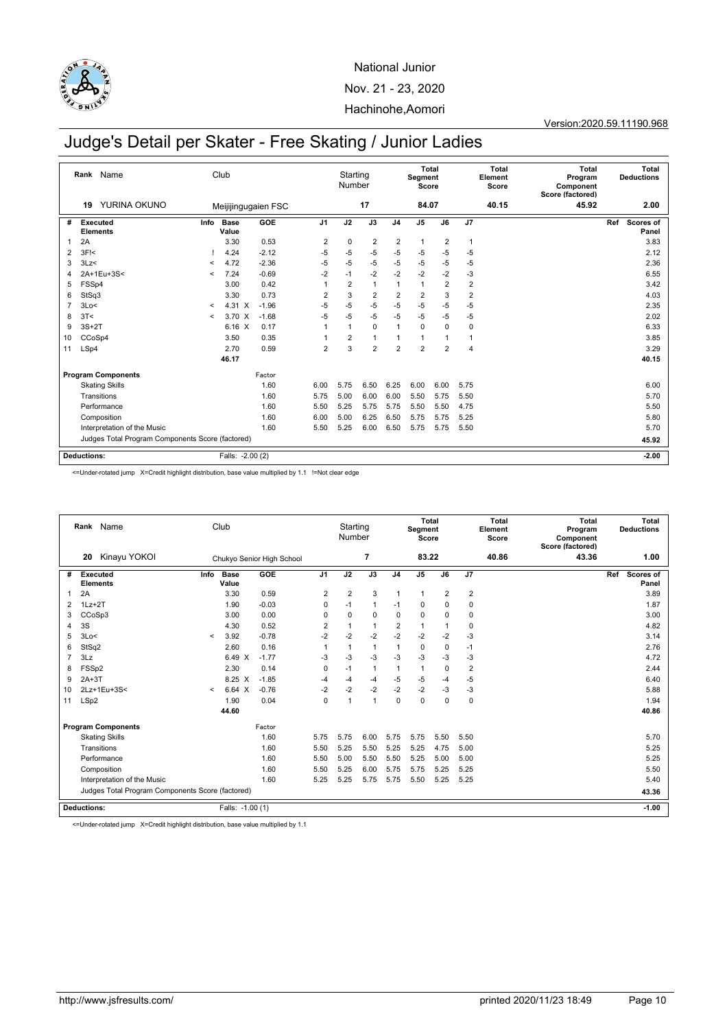

Version:2020.59.11190.968

# Judge's Detail per Skater - Free Skating / Junior Ladies

|    | Rank Name                                        | Club                 |                     |                | Starting<br>Number |                |                | <b>Total</b><br>Segment<br>Score |                |                | <b>Total</b><br>Element<br>Score | <b>Total</b><br>Program<br>Component<br>Score (factored) |     | <b>Total</b><br><b>Deductions</b> |
|----|--------------------------------------------------|----------------------|---------------------|----------------|--------------------|----------------|----------------|----------------------------------|----------------|----------------|----------------------------------|----------------------------------------------------------|-----|-----------------------------------|
|    | YURINA OKUNO<br>19                               |                      | Meijijingugaien FSC |                |                    | 17             |                | 84.07                            |                |                | 40.15                            | 45.92                                                    |     | 2.00                              |
| #  | Executed<br>Info<br><b>Elements</b>              | <b>Base</b><br>Value | GOE                 | J <sub>1</sub> | J2                 | J3             | J <sub>4</sub> | J <sub>5</sub>                   | J6             | J7             |                                  |                                                          | Ref | Scores of<br>Panel                |
| 1  | 2A                                               | 3.30                 | 0.53                | $\overline{2}$ | $\mathbf 0$        | $\overline{2}$ | $\overline{2}$ | $\mathbf{1}$                     | $\overline{2}$ | $\mathbf{1}$   |                                  |                                                          |     | 3.83                              |
| 2  | $3F$ $\leq$                                      | 4.24                 | $-2.12$             | $-5$           | $-5$               | $-5$           | $-5$           | $-5$                             | -5             | $-5$           |                                  |                                                          |     | 2.12                              |
| 3  | 3Lz<<br>$\,<\,$                                  | 4.72                 | $-2.36$             | $-5$           | $-5$               | $-5$           | $-5$           | -5                               | $-5$           | $-5$           |                                  |                                                          |     | 2.36                              |
| 4  | 2A+1Eu+3S<<br>$\,<\,$                            | 7.24                 | $-0.69$             | $-2$           | $-1$               | $-2$           | $-2$           | $-2$                             | $-2$           | $-3$           |                                  |                                                          |     | 6.55                              |
| 5  | FSSp4                                            | 3.00                 | 0.42                |                | $\overline{2}$     | $\overline{1}$ | 1              | $\mathbf{1}$                     | $\overline{2}$ | $\overline{2}$ |                                  |                                                          |     | 3.42                              |
| 6  | StSq3                                            | 3.30                 | 0.73                | $\overline{2}$ | 3                  | $\overline{2}$ | $\overline{2}$ | $\overline{2}$                   | 3              | $\overline{2}$ |                                  |                                                          |     | 4.03                              |
| 7  | 3Lo<<br>$\,<\,$                                  | 4.31 X               | $-1.96$             | $-5$           | $-5$               | $-5$           | $-5$           | -5                               | $-5$           | $-5$           |                                  |                                                          |     | 2.35                              |
| 8  | 3T<<br>$\,<\,$                                   | $3.70 \times$        | $-1.68$             | $-5$           | $-5$               | $-5$           | $-5$           | $-5$                             | $-5$           | $-5$           |                                  |                                                          |     | 2.02                              |
| 9  | $3S+2T$                                          | 6.16 X               | 0.17                | 1              | 1                  | $\mathbf 0$    | $\mathbf{1}$   | $\mathbf 0$                      | $\Omega$       | $\mathbf 0$    |                                  |                                                          |     | 6.33                              |
| 10 | CCoSp4                                           | 3.50                 | 0.35                |                | $\overline{2}$     | $\overline{1}$ |                | 1                                |                | $\mathbf{1}$   |                                  |                                                          |     | 3.85                              |
| 11 | LSp4                                             | 2.70                 | 0.59                | $\overline{2}$ | 3                  | $\overline{2}$ | $\overline{2}$ | $\overline{2}$                   | $\overline{2}$ | 4              |                                  |                                                          |     | 3.29                              |
|    |                                                  | 46.17                |                     |                |                    |                |                |                                  |                |                |                                  |                                                          |     | 40.15                             |
|    | <b>Program Components</b>                        |                      | Factor              |                |                    |                |                |                                  |                |                |                                  |                                                          |     |                                   |
|    | <b>Skating Skills</b>                            |                      | 1.60                | 6.00           | 5.75               | 6.50           | 6.25           | 6.00                             | 6.00           | 5.75           |                                  |                                                          |     | 6.00                              |
|    | Transitions                                      |                      | 1.60                | 5.75           | 5.00               | 6.00           | 6.00           | 5.50                             | 5.75           | 5.50           |                                  |                                                          |     | 5.70                              |
|    | Performance                                      |                      | 1.60                | 5.50           | 5.25               | 5.75           | 5.75           | 5.50                             | 5.50           | 4.75           |                                  |                                                          |     | 5.50                              |
|    | Composition                                      |                      | 1.60                | 6.00           | 5.00               | 6.25           | 6.50           | 5.75                             | 5.75           | 5.25           |                                  |                                                          |     | 5.80                              |
|    | Interpretation of the Music                      |                      | 1.60                | 5.50           | 5.25               | 6.00           | 6.50           | 5.75                             | 5.75           | 5.50           |                                  |                                                          |     | 5.70                              |
|    | Judges Total Program Components Score (factored) |                      |                     |                |                    |                |                |                                  |                |                |                                  |                                                          |     | 45.92                             |
|    | <b>Deductions:</b>                               | Falls: -2.00 (2)     |                     |                |                    |                |                |                                  |                |                |                                  |                                                          |     | $-2.00$                           |

<=Under-rotated jump X=Credit highlight distribution, base value multiplied by 1.1 !=Not clear edge

|    | Rank Name                                        |         | Club                 |                           |                | Starting<br>Number | $\overline{7}$ |                | <b>Total</b><br>Segment<br>Score<br>83.22 |                |                | <b>Total</b><br>Element<br>Score<br>40.86 | <b>Total</b><br>Program<br>Component<br>Score (factored)<br>43.36 |     | Total<br><b>Deductions</b><br>1.00 |
|----|--------------------------------------------------|---------|----------------------|---------------------------|----------------|--------------------|----------------|----------------|-------------------------------------------|----------------|----------------|-------------------------------------------|-------------------------------------------------------------------|-----|------------------------------------|
|    | Kinayu YOKOI<br>20                               |         |                      | Chukyo Senior High School |                |                    |                |                |                                           |                |                |                                           |                                                                   |     |                                    |
| #  | Executed<br>Info<br><b>Elements</b>              |         | <b>Base</b><br>Value | GOE                       | J <sub>1</sub> | J2                 | J3             | J <sub>4</sub> | J <sub>5</sub>                            | J6             | J <sub>7</sub> |                                           |                                                                   | Ref | Scores of<br>Panel                 |
| 1  | 2A                                               |         | 3.30                 | 0.59                      | $\overline{2}$ | 2                  | 3              | $\mathbf{1}$   | $\mathbf{1}$                              | $\overline{2}$ | $\overline{2}$ |                                           |                                                                   |     | 3.89                               |
| 2  | $1Lz + 2T$                                       |         | 1.90                 | $-0.03$                   | $\mathbf 0$    | $-1$               | $\overline{1}$ | $-1$           | $\mathbf 0$                               | 0              | $\mathbf 0$    |                                           |                                                                   |     | 1.87                               |
| 3  | CCoSp3                                           |         | 3.00                 | 0.00                      | $\mathbf 0$    | $\mathbf 0$        | $\mathbf 0$    | $\Omega$       | $\mathbf 0$                               | 0              | $\mathbf 0$    |                                           |                                                                   |     | 3.00                               |
| 4  | 3S                                               |         | 4.30                 | 0.52                      | $\overline{2}$ | $\mathbf{1}$       | $\overline{1}$ | $\overline{2}$ | $\mathbf{1}$                              | 1              | $\mathbf 0$    |                                           |                                                                   |     | 4.82                               |
| 5  | 3Lo<                                             | $\prec$ | 3.92                 | $-0.78$                   | $-2$           | $-2$               | $-2$           | $-2$           | $-2$                                      | $-2$           | $-3$           |                                           |                                                                   |     | 3.14                               |
| 6  | StSq2                                            |         | 2.60                 | 0.16                      | 1              | $\mathbf{1}$       | $\overline{1}$ | 1              | $\mathbf 0$                               | $\mathbf 0$    | $-1$           |                                           |                                                                   |     | 2.76                               |
| 7  | 3Lz                                              |         | 6.49 X               | $-1.77$                   | $-3$           | $-3$               | $-3$           | $-3$           | $-3$                                      | -3             | $-3$           |                                           |                                                                   |     | 4.72                               |
| 8  | FSSp2                                            |         | 2.30                 | 0.14                      | $\mathbf 0$    | $-1$               | $\overline{1}$ | -1             | $\mathbf{1}$                              | 0              | $\overline{2}$ |                                           |                                                                   |     | 2.44                               |
| 9  | $2A+3T$                                          |         | 8.25 X               | $-1.85$                   | -4             | $-4$               | $-4$           | $-5$           | $-5$                                      | $-4$           | $-5$           |                                           |                                                                   |     | 6.40                               |
| 10 | 2Lz+1Eu+3S<                                      | $\,<\,$ | 6.64 X               | $-0.76$                   | $-2$           | $-2$               | $-2$           | $-2$           | $-2$                                      | $-3$           | $-3$           |                                           |                                                                   |     | 5.88                               |
| 11 | LSp2                                             |         | 1.90                 | 0.04                      | $\Omega$       | $\overline{1}$     | $\overline{1}$ | $\Omega$       | $\Omega$                                  | $\Omega$       | 0              |                                           |                                                                   |     | 1.94                               |
|    |                                                  |         | 44.60                |                           |                |                    |                |                |                                           |                |                |                                           |                                                                   |     | 40.86                              |
|    | <b>Program Components</b>                        |         |                      | Factor                    |                |                    |                |                |                                           |                |                |                                           |                                                                   |     |                                    |
|    | <b>Skating Skills</b>                            |         |                      | 1.60                      | 5.75           | 5.75               | 6.00           | 5.75           | 5.75                                      | 5.50           | 5.50           |                                           |                                                                   |     | 5.70                               |
|    | Transitions                                      |         |                      | 1.60                      | 5.50           | 5.25               | 5.50           | 5.25           | 5.25                                      | 4.75           | 5.00           |                                           |                                                                   |     | 5.25                               |
|    | Performance                                      |         |                      | 1.60                      | 5.50           | 5.00               | 5.50           | 5.50           | 5.25                                      | 5.00           | 5.00           |                                           |                                                                   |     | 5.25                               |
|    | Composition                                      |         |                      | 1.60                      | 5.50           | 5.25               | 6.00           | 5.75           | 5.75                                      | 5.25           | 5.25           |                                           |                                                                   |     | 5.50                               |
|    | Interpretation of the Music                      |         |                      | 1.60                      | 5.25           | 5.25               | 5.75           | 5.75           | 5.50                                      | 5.25           | 5.25           |                                           |                                                                   |     | 5.40                               |
|    | Judges Total Program Components Score (factored) |         |                      |                           |                |                    |                |                |                                           |                |                |                                           | 43.36                                                             |     |                                    |
|    | <b>Deductions:</b>                               |         | Falls: -1.00 (1)     |                           |                |                    |                |                |                                           |                |                |                                           |                                                                   |     | $-1.00$                            |

<=Under-rotated jump X=Credit highlight distribution, base value multiplied by 1.1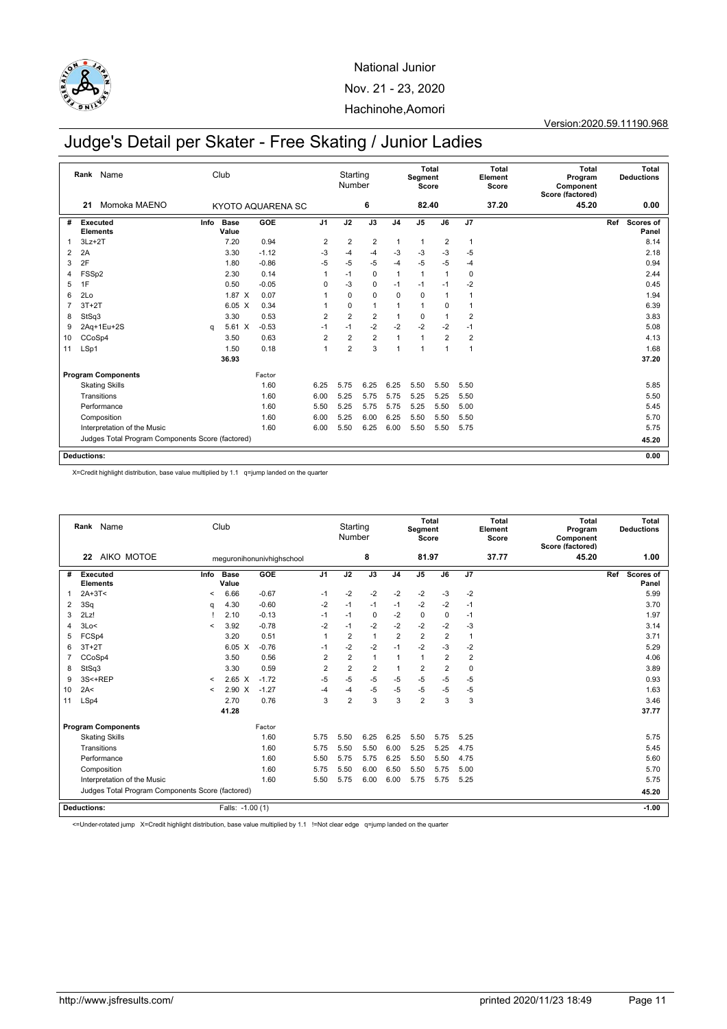

Version:2020.59.11190.968

# Judge's Detail per Skater - Free Skating / Junior Ladies

|                | Name<br>Rank<br>Momoka MAENO<br>21               |      | Club                 |                   |                | Starting<br>Number |                |                | Segment<br>Score | Total          |                | Total<br>Element<br>Score | Total<br>Program<br>Component<br>Score (factored) | Total<br><b>Deductions</b>       |
|----------------|--------------------------------------------------|------|----------------------|-------------------|----------------|--------------------|----------------|----------------|------------------|----------------|----------------|---------------------------|---------------------------------------------------|----------------------------------|
|                |                                                  |      |                      | KYOTO AQUARENA SC |                |                    | 6              |                | 82.40            |                |                | 37.20                     | 45.20                                             | 0.00                             |
| #              | Executed<br><b>Elements</b>                      | Info | <b>Base</b><br>Value | GOE               | J <sub>1</sub> | J2                 | J3             | J <sub>4</sub> | $\overline{J5}$  | J6             | J7             |                           |                                                   | Ref<br><b>Scores of</b><br>Panel |
| $\mathbf{1}$   | $3Lz + 2T$                                       |      | 7.20                 | 0.94              | $\overline{2}$ | $\overline{2}$     | $\overline{2}$ | $\mathbf{1}$   | $\overline{1}$   | $\overline{2}$ | $\mathbf{1}$   |                           |                                                   | 8.14                             |
| 2              | 2A                                               |      | 3.30                 | $-1.12$           | -3             | $-4$               | $-4$           | $-3$           | $-3$             | $-3$           | $-5$           |                           |                                                   | 2.18                             |
| 3              | 2F                                               |      | 1.80                 | $-0.86$           | $-5$           | $-5$               | $-5$           | $-4$           | $-5$             | $-5$           | $-4$           |                           |                                                   | 0.94                             |
| 4              | FSSp2                                            |      | 2.30                 | 0.14              |                | $-1$               | $\mathbf 0$    | $\mathbf{1}$   | $\mathbf{1}$     | $\mathbf{1}$   | $\mathbf 0$    |                           |                                                   | 2.44                             |
| 5              | 1F                                               |      | 0.50                 | $-0.05$           | 0              | $-3$               | 0              | $-1$           | $-1$             | $-1$           | $-2$           |                           |                                                   | 0.45                             |
| 6              | 2Lo                                              |      | 1.87 X               | 0.07              |                | $\mathbf 0$        | $\mathbf 0$    | $\mathbf 0$    | $\mathbf 0$      | $\overline{1}$ | 1              |                           |                                                   | 1.94                             |
| $\overline{7}$ | $3T+2T$                                          |      | $6.05\text{ X}$      | 0.34              |                | 0                  | $\mathbf{1}$   | 1              | $\mathbf{1}$     | 0              |                |                           |                                                   | 6.39                             |
| 8              | StSq3                                            |      | 3.30                 | 0.53              | $\overline{2}$ | $\overline{2}$     | $\overline{2}$ | 1              | 0                | $\overline{1}$ | $\overline{2}$ |                           |                                                   | 3.83                             |
| 9              | 2Aq+1Eu+2S                                       | q    | 5.61 X               | $-0.53$           | $-1$           | $-1$               | $-2$           | $-2$           | $-2$             | $-2$           | $-1$           |                           |                                                   | 5.08                             |
| 10             | CCoSp4                                           |      | 3.50                 | 0.63              | $\overline{2}$ | $\overline{2}$     | $\overline{2}$ | 1              | $\overline{1}$   | $\overline{2}$ | $\overline{2}$ |                           |                                                   | 4.13                             |
| 11             | LSp1                                             |      | 1.50                 | 0.18              | $\overline{1}$ | $\overline{2}$     | 3              | 1              | 1                | 1              | $\mathbf{1}$   |                           |                                                   | 1.68                             |
|                |                                                  |      | 36.93                |                   |                |                    |                |                |                  |                |                |                           |                                                   | 37.20                            |
|                | <b>Program Components</b>                        |      |                      | Factor            |                |                    |                |                |                  |                |                |                           |                                                   |                                  |
|                | <b>Skating Skills</b>                            |      |                      | 1.60              | 6.25           | 5.75               | 6.25           | 6.25           | 5.50             | 5.50           | 5.50           |                           |                                                   | 5.85                             |
|                | Transitions                                      |      |                      | 1.60              | 6.00           | 5.25               | 5.75           | 5.75           | 5.25             | 5.25           | 5.50           |                           |                                                   | 5.50                             |
|                | Performance                                      |      |                      | 1.60              | 5.50           | 5.25               | 5.75           | 5.75           | 5.25             | 5.50           | 5.00           |                           |                                                   | 5.45                             |
|                | Composition                                      |      |                      | 1.60              | 6.00           | 5.25               | 6.00           | 6.25           | 5.50             | 5.50           | 5.50           |                           |                                                   | 5.70                             |
|                | Interpretation of the Music                      |      |                      | 1.60              | 6.00           | 5.50               | 6.25           | 6.00           | 5.50             | 5.50           | 5.75           |                           |                                                   | 5.75                             |
|                | Judges Total Program Components Score (factored) |      |                      |                   |                |                    |                |                |                  |                |                |                           |                                                   | 45.20                            |
|                | <b>Deductions:</b>                               |      |                      |                   |                |                    |                |                |                  |                |                |                           |                                                   | 0.00                             |

X=Credit highlight distribution, base value multiplied by 1.1 q=jump landed on the quarter

|    | Rank Name<br>AIKO MOTOE<br>22                    |         | Club                 |                           |                | Starting<br>Number |                |                | Total<br>Segment<br>Score |                |                         | <b>Total</b><br>Element<br>Score | <b>Total</b><br>Program<br>Component<br>Score (factored) |     | Total<br><b>Deductions</b> |
|----|--------------------------------------------------|---------|----------------------|---------------------------|----------------|--------------------|----------------|----------------|---------------------------|----------------|-------------------------|----------------------------------|----------------------------------------------------------|-----|----------------------------|
|    |                                                  |         |                      | meguronihonunivhighschool |                |                    | 8              |                | 81.97                     |                |                         | 37.77                            | 45.20                                                    |     | 1.00                       |
| #  | <b>Executed</b><br><b>Elements</b>               | Info    | <b>Base</b><br>Value | GOE                       | J <sub>1</sub> | J2                 | J3             | J <sub>4</sub> | J <sub>5</sub>            | J6             | J7                      |                                  |                                                          | Ref | Scores of<br>Panel         |
|    | $2A+3T<$                                         | <       | 6.66                 | $-0.67$                   | $-1$           | $-2$               | $-2$           | $-2$           | $-2$                      | $-3$           | $-2$                    |                                  |                                                          |     | 5.99                       |
| 2  | 3Sq                                              | a       | 4.30                 | $-0.60$                   | $-2$           | $-1$               | $-1$           | $-1$           | $-2$                      | $-2$           | $-1$                    |                                  |                                                          |     | 3.70                       |
| 3  | 2Lz!                                             |         | 2.10                 | $-0.13$                   | $-1$           | $-1$               | $\mathbf 0$    | $-2$           | $\mathbf 0$               | $\Omega$       | $-1$                    |                                  |                                                          |     | 1.97                       |
| 4  | 3Lo<                                             | $\prec$ | 3.92                 | $-0.78$                   | $-2$           | $-1$               | $-2$           | $-2$           | $-2$                      | $-2$           | $-3$                    |                                  |                                                          |     | 3.14                       |
| 5  | FCSp4                                            |         | 3.20                 | 0.51                      | 1              | $\overline{2}$     | $\overline{1}$ | $\overline{2}$ | $\overline{2}$            | $\overline{2}$ | $\overline{1}$          |                                  |                                                          |     | 3.71                       |
| 6  | $3T+2T$                                          |         | $6.05\text{ X}$      | $-0.76$                   | -1             | $-2$               | $-2$           | $-1$           | $-2$                      | $-3$           | $-2$                    |                                  |                                                          |     | 5.29                       |
|    | CCoSp4                                           |         | 3.50                 | 0.56                      | $\overline{2}$ | $\overline{2}$     | $\mathbf{1}$   | 1              | 1                         | $\overline{2}$ | $\overline{\mathbf{c}}$ |                                  |                                                          |     | 4.06                       |
| 8  | StSq3                                            |         | 3.30                 | 0.59                      | $\overline{2}$ | $\overline{2}$     | $\overline{2}$ | 1              | $\overline{2}$            | $\overline{2}$ | $\mathbf 0$             |                                  |                                                          |     | 3.89                       |
| 9  | 3S<+REP                                          | $\,<\,$ | $2.65\text{ X}$      | $-1.72$                   | $-5$           | $-5$               | $-5$           | $-5$           | $-5$                      | $-5$           | $-5$                    |                                  |                                                          |     | 0.93                       |
| 10 | 2A<                                              | $\prec$ | 2.90 X               | $-1.27$                   | $-4$           | $-4$               | $-5$           | -5             | -5                        | $-5$           | $-5$                    |                                  |                                                          |     | 1.63                       |
| 11 | LSp4                                             |         | 2.70                 | 0.76                      | 3              | $\overline{2}$     | 3              | 3              | $\overline{2}$            | 3              | 3                       |                                  |                                                          |     | 3.46                       |
|    |                                                  |         | 41.28                |                           |                |                    |                |                |                           |                |                         |                                  |                                                          |     | 37.77                      |
|    | <b>Program Components</b>                        |         |                      | Factor                    |                |                    |                |                |                           |                |                         |                                  |                                                          |     |                            |
|    | <b>Skating Skills</b>                            |         |                      | 1.60                      | 5.75           | 5.50               | 6.25           | 6.25           | 5.50                      | 5.75           | 5.25                    |                                  |                                                          |     | 5.75                       |
|    | Transitions                                      |         |                      | 1.60                      | 5.75           | 5.50               | 5.50           | 6.00           | 5.25                      | 5.25           | 4.75                    |                                  |                                                          |     | 5.45                       |
|    | Performance                                      |         |                      | 1.60                      | 5.50           | 5.75               | 5.75           | 6.25           | 5.50                      | 5.50           | 4.75                    |                                  |                                                          |     | 5.60                       |
|    | Composition                                      |         |                      | 1.60                      | 5.75           | 5.50               | 6.00           | 6.50           | 5.50                      | 5.75           | 5.00                    |                                  |                                                          |     | 5.70                       |
|    | Interpretation of the Music                      |         |                      | 1.60                      | 5.50           | 5.75               | 6.00           | 6.00           | 5.75                      | 5.75           | 5.25                    |                                  |                                                          |     | 5.75                       |
|    | Judges Total Program Components Score (factored) |         |                      |                           |                |                    |                |                |                           |                |                         |                                  |                                                          |     | 45.20                      |
|    | <b>Deductions:</b>                               |         | Falls: -1.00 (1)     |                           |                |                    |                |                |                           |                |                         |                                  |                                                          |     | $-1.00$                    |

<=Under-rotated jump X=Credit highlight distribution, base value multiplied by 1.1 !=Not clear edge q=jump landed on the quarter